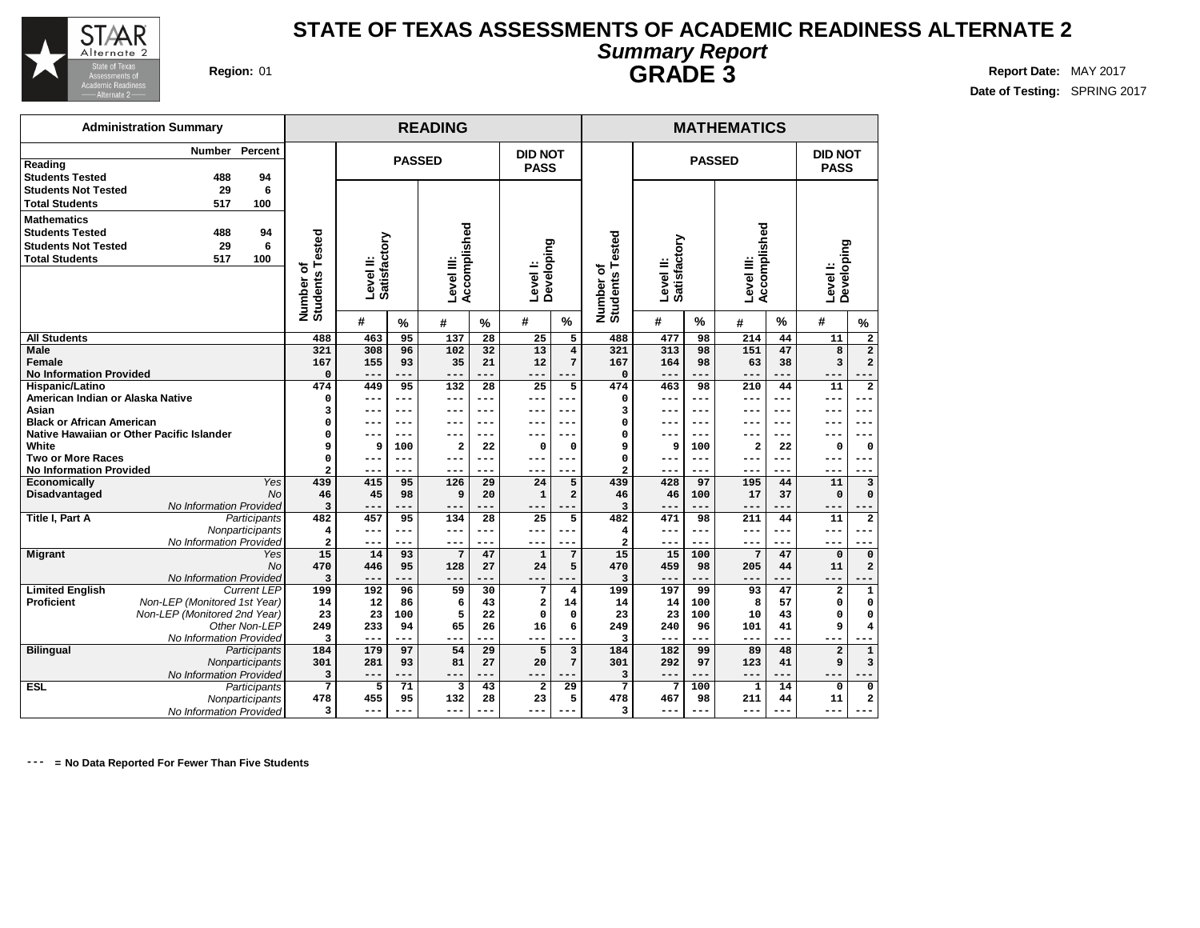

**Date of Testing:** SPRING 2017

| <b>GRADE 3</b> |  |  |
|----------------|--|--|
|                |  |  |

| <b>Administration Summary</b>                |                              |                           |               | <b>READING</b>          |           |                         |                         | <b>MATHEMATICS</b>        |                           |               |                |               |                         |                         |  |  |
|----------------------------------------------|------------------------------|---------------------------|---------------|-------------------------|-----------|-------------------------|-------------------------|---------------------------|---------------------------|---------------|----------------|---------------|-------------------------|-------------------------|--|--|
| Percent<br>Number                            |                              |                           |               |                         |           | <b>DID NOT</b>          |                         |                           |                           |               |                |               | <b>DID NOT</b>          |                         |  |  |
| Reading                                      |                              |                           | <b>PASSED</b> |                         |           | <b>PASS</b>             |                         |                           |                           | <b>PASSED</b> |                |               | <b>PASS</b>             |                         |  |  |
| <b>Students Tested</b><br>488<br>94          |                              |                           |               |                         |           |                         |                         |                           |                           |               |                |               |                         |                         |  |  |
| 6<br><b>Students Not Tested</b><br>29        |                              |                           |               |                         |           |                         |                         |                           |                           |               |                |               |                         |                         |  |  |
| <b>Total Students</b><br>517<br>100          |                              |                           |               |                         |           |                         |                         |                           |                           |               |                |               |                         |                         |  |  |
| <b>Mathematics</b>                           |                              |                           |               |                         |           |                         |                         |                           |                           |               |                |               |                         |                         |  |  |
|                                              |                              |                           |               |                         |           |                         |                         |                           |                           |               |                |               |                         |                         |  |  |
| <b>Students Tested</b><br>488<br>94          |                              |                           |               |                         |           |                         |                         |                           |                           |               |                |               |                         |                         |  |  |
| <b>Students Not Tested</b><br>29<br>6        |                              |                           |               | Accomplished            |           |                         |                         | ested                     |                           |               | Accomplished   |               |                         |                         |  |  |
| <b>Total Students</b><br>517<br>100          |                              |                           |               |                         |           |                         |                         | ⊢                         |                           |               |                |               |                         |                         |  |  |
|                                              |                              | Level II:<br>Satisfactory |               | Level III:              |           | Level I:<br>Developing  |                         | ৳                         | Level II:<br>Satisfactory |               | Level III:     |               | Developing<br>Level I:  |                         |  |  |
|                                              |                              |                           |               |                         |           |                         |                         |                           |                           |               |                |               |                         |                         |  |  |
|                                              |                              |                           |               |                         |           |                         |                         |                           |                           |               |                |               |                         |                         |  |  |
|                                              | Number of<br>Students Tested | #                         | $\frac{9}{6}$ | #                       | %         | #                       | %                       | <b>Students</b><br>Number | #                         | $\%$          | #              | $\frac{0}{0}$ | #                       | $\%$                    |  |  |
| <b>All Students</b>                          | 488                          | 463                       | 95            | 137                     | 28        | 25                      | 5                       | 488                       | 477                       | 98            | 214            | 44            | 11                      | 2                       |  |  |
| <b>Male</b>                                  | 321                          | 308                       | 96            | 102                     | 32        | 13                      | $\overline{\mathbf{4}}$ | 321                       | 313                       | 98            | 151            | 47            | 8                       | $\overline{\mathbf{2}}$ |  |  |
| <b>Female</b>                                | 167                          | 155                       | 93            | 35                      | 21        | 12                      | 7                       | 167                       | 164                       | 98            | 63             | 38            | 3                       | $\overline{a}$          |  |  |
| <b>No Information Provided</b>               | $\Omega$                     | $- -$                     | ---           | $---$                   | ---       | ---                     | ---                     | $\mathbf 0$               | ---                       |               | ---            |               | $---$                   |                         |  |  |
| Hispanic/Latino                              | 474                          | 449                       | 95            | $\overline{132}$        | 28        | 25                      | 5                       | 474                       | 463                       | 98            | 210            | 44            | 11                      | $\overline{\mathbf{2}}$ |  |  |
| American Indian or Alaska Native             | $\Omega$                     | $---$                     | ---           | ---                     | ---       | ---                     | ---                     | O                         | ---                       | $---$         | ---            | $---$         | ---                     |                         |  |  |
| Asian                                        | 3                            | $---$                     | ---           | ---                     | ---       | ---                     | ---                     | 3                         | ---                       | ---           | ---            | ---           | ---                     | ---                     |  |  |
| <b>Black or African American</b>             | 0                            | ---                       | ---           | ---                     | ---       | ---                     | ---                     | O                         | ---                       | $---$         | ---            | ---           | ---                     | ---                     |  |  |
| Native Hawaiian or Other Pacific Islander    | O                            | ---                       | ---           | ---                     | ---       | ---                     | ---                     | $\Omega$                  | $- - -$                   | $---$         | ---            | ---           | ---                     | ---                     |  |  |
| White                                        | 9                            | 9                         | 100           | 2                       | 22        | $\mathbf 0$             | 0                       | 9                         | 9                         | 100           | $\overline{a}$ | 22            | O                       | $\mathbf 0$             |  |  |
| Two or More Races                            | O                            | $---$                     | ---           | ---                     | ---       | $---$                   | ---                     | $\Omega$                  | ---                       | $---$         | ---            | ---           | ---                     | ---                     |  |  |
| <b>No Information Provided</b>               | $\overline{2}$               | ---                       | ---           | ---                     | ---       | ---                     | ---                     | $\overline{a}$            | ---                       | ---           | ---            | ---           | ---                     | ---                     |  |  |
| Yes<br><b>Economically</b>                   | 439                          | 415                       | 95            | 126                     | 29        | 24                      | 5                       | 439                       | 428                       | 97            | 195            | 44            | 11                      | 3                       |  |  |
| <b>Disadvantaged</b><br><b>No</b>            | 46                           | 45                        | 98            | 9                       | 20        | 1                       | $\overline{a}$          | 46                        | 46                        | 100           | 17             | 37            | 0                       | $\Omega$                |  |  |
| No Information Provided                      | 3                            | $- -$                     | ---           | ---                     |           | ---                     | $-- -$                  | 3                         | ---                       |               | ---            | ---           | ---                     |                         |  |  |
| <b>Title I, Part A</b><br>Participants       | 482                          | 457                       | 95            | 134                     | 28        | 25                      | 5                       | 482                       | 471                       | 98            | 211            | 44            | 11                      | $\overline{a}$          |  |  |
| Nonparticipants                              | $\overline{\mathbf{4}}$      | ---                       | $---$         | $---$                   | $---$     | ---                     | ---                     | 4                         | ---                       | $---$         | ---            | $---$         | ---                     | $- - -$                 |  |  |
| No Information Provided<br><b>Migrant</b>    | $\overline{a}$<br>15         | ---                       | ---           | ---<br>7                | ---       | ---                     | ---                     | $\overline{a}$<br>15      | ---                       | $---$         | ---            | ---           | ---                     |                         |  |  |
| Yes<br><b>No</b>                             |                              | 14                        | 93            |                         | 47        | $\mathbf{1}$            | 7                       |                           | 15                        | 100           | 7              | 47            | $\mathbf 0$             | 0                       |  |  |
| No Information Provided                      | 470<br>3                     | 446<br>$- -$              | 95<br>---     | 128<br>---              | 27<br>--- | 24<br>---               | 5                       | 470<br>3                  | 459<br>---                | 98            | 205<br>---     | 44            | 11<br>---               | $\overline{\mathbf{2}}$ |  |  |
| <b>Limited English</b><br><b>Current LEP</b> | 199                          | 192                       | 96            | 59                      | 30        | 7                       | 4                       | 199                       | 197                       | 99            | 93             | 47            |                         |                         |  |  |
| Proficient<br>Non-LEP (Monitored 1st Year)   | 14                           | 12                        | 86            | 6                       | 43        | $\overline{a}$          | 14                      | 14                        | 14                        | 100           | 8              | 57            | 2<br>0                  | 1<br>0                  |  |  |
| Non-LEP (Monitored 2nd Year)                 | 23                           | 23                        | 100           | 5                       | 22        | $\Omega$                | $\mathbf 0$             | 23                        | 23                        | 100           | 10             | 43            | 0                       | 0                       |  |  |
| Other Non-LEP                                | 249                          | 233                       | 94            | 65                      | 26        | 16                      | 6                       | 249                       | 240                       | 96            | 101            | 41            | 9                       | $\overline{4}$          |  |  |
| No Information Provided                      | 3                            | ---                       | ---           | ---                     | ---       | ---                     |                         | 3                         | ---                       |               | ---            |               | ---                     |                         |  |  |
| <b>Bilingual</b><br>Participants             | 184                          | 179                       | 97            | $\overline{54}$         | 29        | 5                       | 3                       | 184                       | 182                       | 99            | 89             | 48            | $\overline{\mathbf{2}}$ | $\mathbf 1$             |  |  |
| Nonparticipants                              | 301                          | 281                       | 93            | 81                      | 27        | 20                      | 7                       | 301                       | 292                       | 97            | 123            | 41            | 9                       | $\overline{\mathbf{3}}$ |  |  |
| No Information Provided                      | 3                            | ---                       | ---           | ---                     | ---       | ---                     | ---                     | 3                         | ---                       | ---           | ---            | ---           | $---$                   |                         |  |  |
| <b>ESL</b><br>Participants                   | $7\phantom{.0}$              | 5                         | 71            | $\overline{\mathbf{3}}$ | 43        | $\overline{\mathbf{2}}$ | 29                      | $7\phantom{.0}$           | $7\phantom{.0}$           | 100           | $\mathbf{1}$   | 14            | $\mathbf 0$             | 0                       |  |  |
| Nonparticipants                              | 478                          | 455                       | 95            | 132                     | 28        | 23                      | 5                       | 478                       | 467                       | 98            | 211            | 44            | 11                      | $\overline{\mathbf{2}}$ |  |  |
| No Information Provided                      | 3                            | ---                       | ---           | ---                     |           | ---                     | $---$                   | 3                         | ---                       | ---           | ---            |               | ---                     | $---$                   |  |  |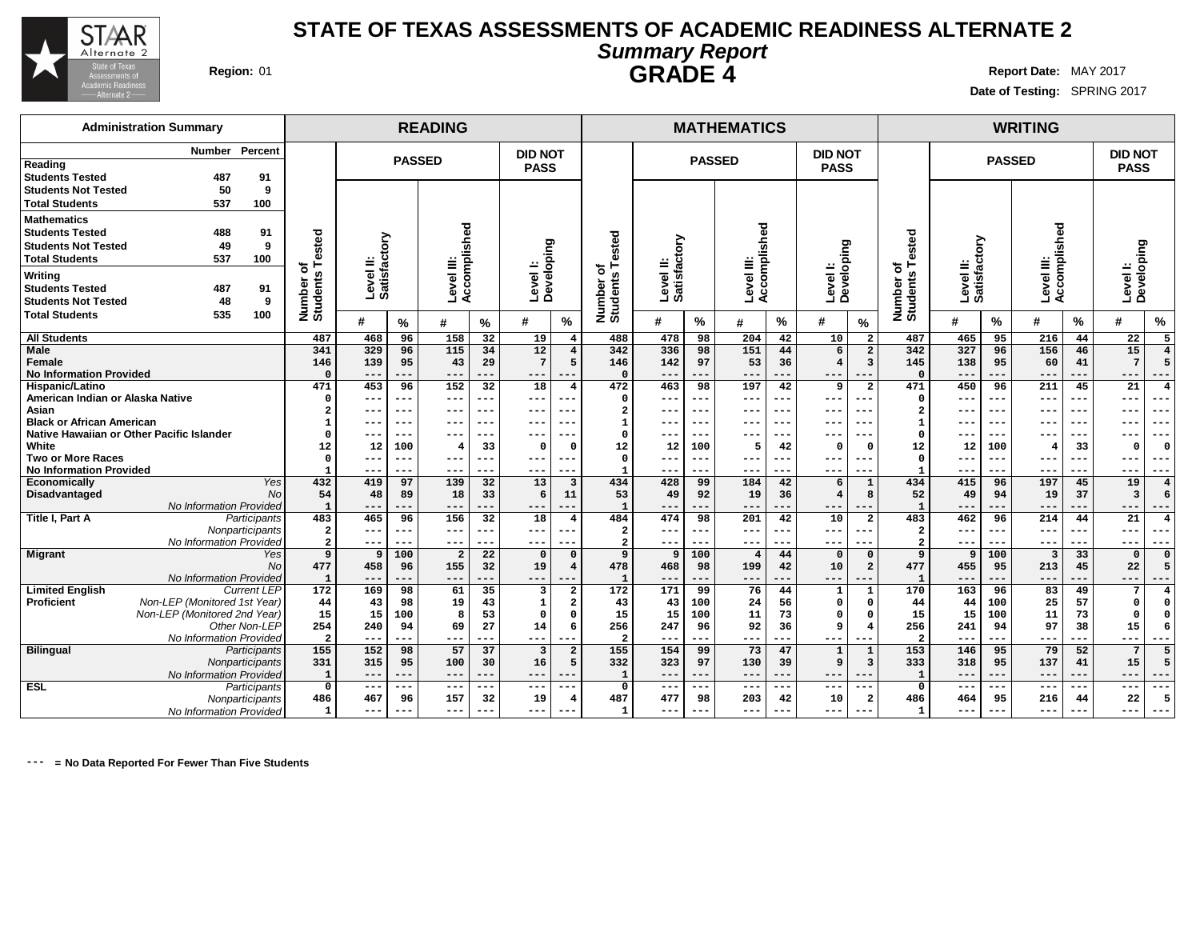

**Date of Testing:** SPRING 2017

# **GRADE 4**

**Administration Summary Number Percent Reading Students Tested 487 91 Students Not Tested 50 9 Total Students 537 100 Mathematics Students Tested 488 91 Students Not Tested 49 9 Total Students 537 100 Writing Students Tested 487 91 Students Not Tested 48 9 Total Students 535 100 READING MATHEMATICS WRITING PASSED DID NOT PASS PASSED DID NOT PASS PASSED DID NOT PASS Number of Students Tested Level II: Satisfactory Level III: Accomplished Level I: Developing Number of Students Tested Level II: Satisfactory Level III: Accomplished Level I: Developing Number of Students Tested Level II: Satisfactory Level III: Accomplished Level I: Developing # % # % # % # % # % # % # % # % # % All Students Male Female No Information Provided Hispanic/Latino American Indian or Alaska Native Asian Black or African American Native Hawaiian or Other Pacific Islander White Two or More Races No Information Provided Economically** Yes **Disadvantaged** No No Information Provided **Title I, Part A** Participants **Nonparticipants** No Information Provided<br>Yes **Migrant No No Information Provided**<br>Current LEP Limited **English**<br>Proficient **Proficient** Non-LEP (Monitored 1st Year) Non-LEP (Monitored 2nd Year) Other Non-LEP No Information Provided **Bilingual** Participants **Nonparticipants** No Information Provided **ESL** Participants **Nonparticipants** No Information Provided **487 468 96 158 32 19 4 341 329 96 115 34 12 4 146 139 95 43 29 7 5 0 --- --- --- --- --- --- 471 453 96 152 32 18 4 0 --- --- --- --- --- --- 2 --- --- --- --- --- --- 1 --- --- --- --- --- --- 0 --- --- --- --- --- --- 12 12 100 4 33 0 0 0 --- --- --- --- --- --- 1 --- --- --- --- --- --- 432 419 97 139 32 13 3 54 48 89 18 33 6 11 1 --- --- --- --- --- --- 483 465 96 156 32 18 4 2 --- --- --- --- --- --- 2 --- --- --- --- --- --- 9 9 100 2 22 0 0 477 458 96 155 32 19 4 1 --- --- --- --- --- --- 172 169 98 61 35 3 2 44 43 98 19 43 1 2 15 15 100 8 53 0 0 254 240 94 69 27 14 6 2 --- --- --- --- --- --- 155 152 98 57 37 3 2 331 315 95 100 30 16 5 1 --- --- --- --- --- --- 0 --- --- --- --- --- --- 486 467 96 157 32 19 4 1 --- --- --- --- --- --- 488 478 98 204 42 10 2 342 336 98 151 44 6 2 146 142 97 53 36 4 3 0 --- --- --- --- --- --- 472 463 98 197 42 9 2 0 --- --- --- --- --- --- 2 --- --- --- --- --- --- 1 --- --- --- --- --- --- 0 --- --- --- --- --- --- 12 12 100 5 42 0 0 0 --- --- --- --- --- --- 1 --- --- --- --- --- --- 434 428 99 184 42 6 1 53 49 92 19 36 4 8 1 --- --- --- --- --- --- 484 474 98 201 42 10 2 2 --- --- --- --- --- --- 2 --- --- --- --- --- --- 9 9 100 4 44 0 0 478 468 98 199 42 10 2 1 --- --- --- --- --- --- 172 171 99 76 44 1 1 43 43 100 24 56 0 0 15 15 100 11 73 0 0 256 247 96 92 36 9 4 2 --- --- --- --- --- --- 155 154 99 73 47 1 1 332 323 97 130 39 9 3 1 --- --- --- --- --- --- 0 --- --- --- --- --- --- 487 477 98 203 42 10 2 1 --- --- --- --- --- --- 487 465 95 216 44 22 5 342 327 96 156 46 15 4 145 138 95 60 41 7 5 0 --- --- --- --- --- --- 471 450 96 211 45 21 4 0 --- --- --- --- --- --- 2 --- --- --- --- --- --- 1 --- --- --- --- --- --- 0 --- --- --- --- --- --- 12 12 100 4 33 0 0 0 --- --- --- --- --- --- 1 --- --- --- --- --- --- 434 415 96 197 45 19 4 52 49 94 19 37 3 6 1 --- --- --- --- --- --- 483 462 96 214 44 21 4 2 --- --- --- --- --- --- 2 --- --- --- --- --- --- 9 9 100 3 33 0 0 477 455 95 213 45 22 5 1 --- --- --- --- --- --- 170 163 96 83 49 7 4 44 44 100 25 57 0 0 15 15 100 11 73 0 0 256 241 94 97 38 15 6 2 --- --- --- --- --- --- 153 146 95 79 52 7 5 333 318 95 137 41 15 5 1 --- --- --- --- --- --- 0 --- --- --- --- --- --- 486 464 95 216 44 22 5 1 --- --- --- --- --- ---**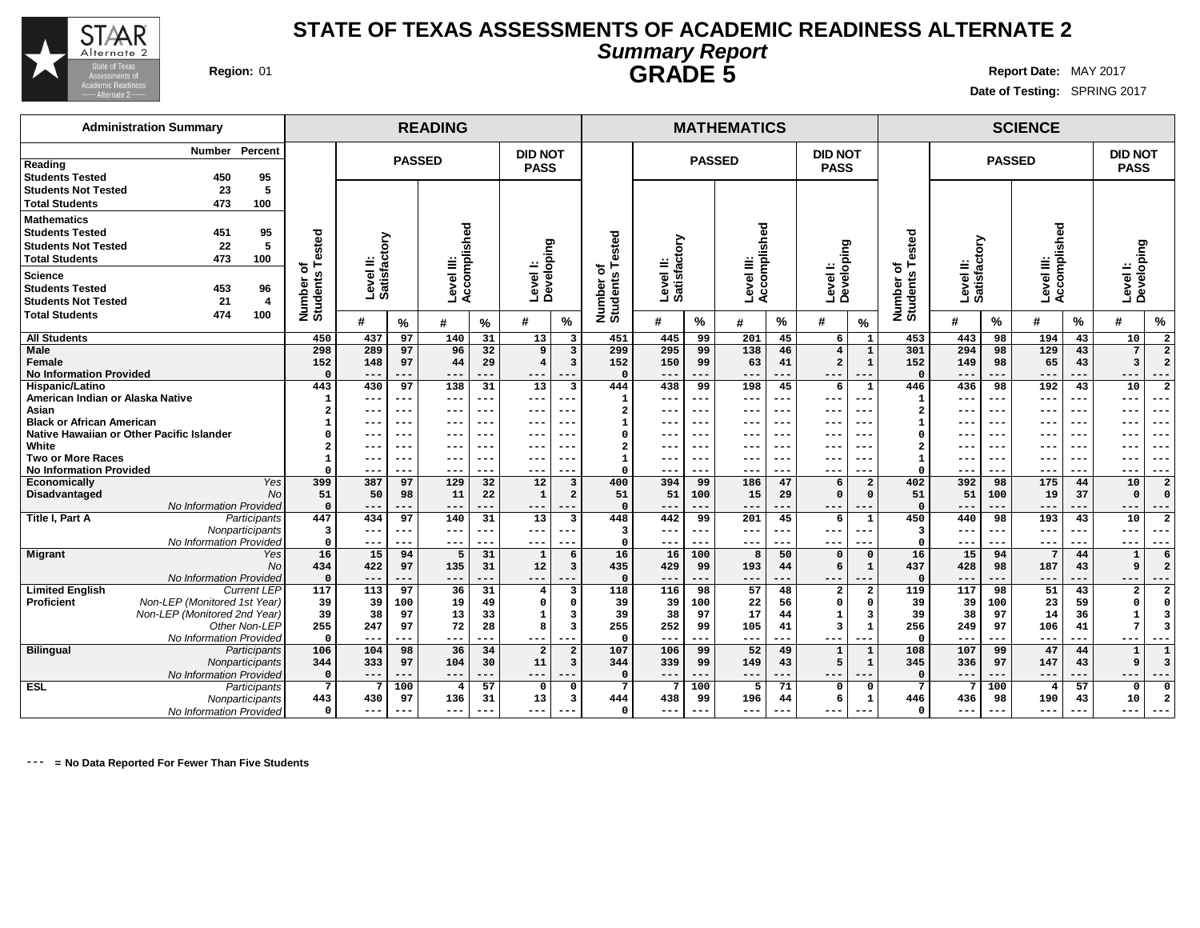

**Date of Testing:** SPRING 2017

| <b>Administration Summary</b>                                                 |                         |                        |               | <b>READING</b>             |            |                         |                                |                          |                           |               | <b>MATHEMATICS</b>         |              |                                  |                         |                          |                           |                 | <b>SCIENCE</b>             |           |                         |                         |
|-------------------------------------------------------------------------------|-------------------------|------------------------|---------------|----------------------------|------------|-------------------------|--------------------------------|--------------------------|---------------------------|---------------|----------------------------|--------------|----------------------------------|-------------------------|--------------------------|---------------------------|-----------------|----------------------------|-----------|-------------------------|-------------------------|
| Percent<br>Number<br>Reading                                                  |                         |                        | <b>PASSED</b> |                            |            | <b>DID NOT</b>          |                                |                          |                           | <b>PASSED</b> |                            |              | <b>DID NOT</b>                   |                         |                          |                           | <b>PASSED</b>   |                            |           | <b>DID NOT</b>          |                         |
| <b>Students Tested</b><br>95<br>450                                           |                         |                        |               |                            |            | <b>PASS</b>             |                                |                          |                           |               |                            |              | <b>PASS</b>                      |                         |                          |                           |                 |                            |           | <b>PASS</b>             |                         |
| <b>Students Not Tested</b><br>23<br>5                                         |                         |                        |               |                            |            |                         |                                |                          |                           |               |                            |              |                                  |                         |                          |                           |                 |                            |           |                         |                         |
| 473<br>100<br><b>Total Students</b>                                           |                         |                        |               |                            |            |                         |                                |                          |                           |               |                            |              |                                  |                         |                          |                           |                 |                            |           |                         |                         |
| Mathematics                                                                   |                         |                        |               |                            |            |                         |                                |                          |                           |               |                            |              |                                  |                         |                          |                           |                 |                            |           |                         |                         |
| 95<br><b>Students Tested</b><br>451                                           |                         |                        |               |                            |            |                         |                                |                          |                           |               |                            |              |                                  |                         |                          |                           |                 |                            |           |                         |                         |
| 22<br>5<br><b>Students Not Tested</b>                                         |                         | δ                      |               |                            |            |                         |                                |                          |                           |               |                            |              |                                  |                         |                          |                           |                 |                            |           |                         |                         |
| <b>Total Students</b><br>473<br>100                                           | ested                   |                        |               |                            |            | ping                    |                                | ested                    |                           |               |                            |              |                                  |                         | ested                    |                           |                 |                            |           |                         |                         |
|                                                                               | ⊢<br>৳                  | Level II:<br>Satisfact |               | Accomplished<br>Level III: |            |                         |                                | ⊢<br>৳                   | Level II:<br>Satisfactory |               | Accomplished<br>Level III: |              | Level I:<br>Developing           |                         | ⊢<br>৳                   | Level II:<br>Satisfactory |                 | Level III:<br>Accomplished |           | Levell:<br>Developing   |                         |
| Science                                                                       | $\boldsymbol{a}$        |                        |               |                            |            | Levell:<br>Develop      |                                |                          |                           |               |                            |              |                                  |                         |                          |                           |                 |                            |           |                         |                         |
| 453<br>96<br><b>Students Tested</b>                                           |                         |                        |               |                            |            |                         |                                |                          |                           |               |                            |              |                                  |                         |                          |                           |                 |                            |           |                         |                         |
| <b>Students Not Tested</b><br>21<br>4                                         | Number<br>Students      |                        |               |                            |            |                         |                                |                          |                           |               |                            |              |                                  |                         |                          |                           |                 |                            |           |                         |                         |
| <b>Total Students</b><br>474<br>100                                           |                         | #                      | $\%$          | #                          | $\%$       | #                       | $\frac{9}{6}$                  | Number o<br>Students     | #                         | %             | #                          | %            | #                                | $\%$                    | Number of<br>Students    | #                         | %               | #                          | $\%$      | #                       | $\%$                    |
| <b>All Students</b>                                                           | 450                     | 437                    | 97            | 140                        | 31         | 13                      | 3                              | 451                      | 445                       | 99            | 201                        | 45           | 6                                | $\mathbf{1}$            | 453                      | 443                       | 98              | 194                        | 43        | 10                      |                         |
| Male                                                                          | 298                     | 289                    | 97            | 96                         | 32         | 9                       | 3                              | 299                      | 295                       | 99            | 138                        | 46           | $\overline{4}$                   | $\mathbf{1}$            | 301                      | 294                       | 98              | 129                        | 43        | 7                       | $\overline{2}$          |
| <b>Female</b>                                                                 | 152                     | 148                    | 97            | 44                         | 29         | $\overline{4}$          | 3                              | 152                      | 150                       | 99            | 63                         | 41           | $\overline{a}$                   | 1                       | 152                      | 149                       | 98              | 65                         | 43        | $\overline{\mathbf{3}}$ | $\overline{2}$          |
| <b>No Information Provided</b>                                                | $\Omega$                | ---                    | ---           | ---                        | ---        | ---                     | $- -$                          | $\Omega$                 | ---                       |               | ---                        |              | $---$                            | $--$                    | $\Omega$                 |                           |                 |                            |           | ---                     | ---                     |
| Hispanic/Latino                                                               | 443                     | 430                    | 97            | 138                        | 31         | 13                      | 3                              | 444                      | 438                       | 99            | 198                        | 45           | 6                                | $\mathbf{1}$            | 446                      | 436                       | 98              | 192                        | 43        | 10                      | $\overline{2}$          |
| American Indian or Alaska Native                                              | $\mathbf{1}$            | ---                    | ---           | ---                        | ---        | $---$                   | ---                            | $\mathbf{1}$             | $--$                      | ---           | ---                        | $---$        | $---$                            | $--$                    | $\mathbf{1}$             | $- - -$                   | ---             | ---                        |           | $---$                   | ---                     |
| Asian                                                                         | 2                       | ---                    | ---           | ---                        | ---        | ---                     | ---                            | $\overline{2}$           | $- - -$                   | ---           | ---                        | $---$        | $--$                             | $--$                    | $\overline{a}$           | $- -$                     | $--$            | $--$                       | $--$      | $--$                    | ---                     |
| <b>Black or African American</b><br>Native Hawaiian or Other Pacific Islander |                         |                        | ---           | ---                        | ---        | ---                     | --                             | $\mathbf{1}$<br>$\Omega$ |                           | ---           | ---                        | $--$         | $- - -$                          | $- -$                   | $\mathbf{1}$<br>$\Omega$ | $- - -$                   | $- - -$         | ---                        |           | ---                     | ---                     |
| White                                                                         |                         |                        | ---<br>---    | ---<br>---                 | ---<br>--- |                         | --<br>--                       | $\overline{2}$           |                           | ---<br>---    | ---<br>---                 | $---$<br>--- |                                  | $- -$<br>$- - \cdot$    | $\overline{a}$           |                           | $- - -$<br>$--$ | ---<br>---                 | ---       | ---<br>---              | ---<br>---              |
| <b>Two or More Races</b>                                                      |                         |                        | ---           | ---                        | ---        | ---                     | ---                            | $\mathbf{1}$             |                           | ---           | ---                        | $---$        | ---                              | $--$                    | $\mathbf{1}$             |                           | $--$            | ---                        | ---       | $---$                   | ---                     |
| <b>No Information Provided</b>                                                |                         | ---                    | ---           | ---                        |            | ---                     | ---                            | $\Omega$                 | ---                       | ---           | ---                        |              | $--$                             | ---                     | $\Omega$                 | $--$                      |                 | ---                        |           | $--$                    |                         |
| Economically<br>Yes                                                           | 399                     | 387                    | 97            | 129                        | 32         | 12                      | 3                              | 400                      | 394                       | 99            | 186                        | 47           | 6                                | $\overline{2}$          | 402                      | 392                       | 98              | 175                        | 44        | 10                      | $\overline{2}$          |
| <b>Disadvantaged</b><br><b>No</b>                                             | 51                      | 50                     | 98            | 11                         | 22         | $\mathbf{1}$            | $\overline{a}$                 | 51                       | 51                        | 100           | 15                         | 29           | $\Omega$                         | $\Omega$                | 51                       | 51                        | 100             | 19                         | 37        | $\Omega$                |                         |
| No Information Provided                                                       | $\Omega$                | ---                    | ---           | ---                        | ---        | ---                     | $---$                          | $\Omega$                 |                           | ---           | ---                        |              | $--$                             | $---$                   | $\Omega$                 |                           | $---$           | ---                        |           | $--$                    | ---                     |
| <b>Title I, Part A</b><br>Participants                                        | 447                     | 434                    | 97            | 140                        | 31         | 13                      | $\overline{\mathbf{3}}$        | 448                      | 442                       | 99            | 201                        | 45           | 6                                | $\mathbf{1}$            | 450                      | 440                       | 98              | 193                        | 43        | 10                      | $\overline{2}$          |
| Nonparticipants                                                               | $\overline{\mathbf{3}}$ | ---                    | ---           | $---$                      | ---        | $---$                   | $---$                          | $\overline{\mathbf{3}}$  | $---$                     | $---$         | $---$                      | $---$        | $---$                            | $--$                    | 3                        | $---$                     | $---$           | $---$                      | ---       | $---$                   | ---                     |
| No Information Provided                                                       | $\Omega$                | ---                    | ---           | ---                        |            | ---                     | --                             | $\Omega$                 |                           |               | ---                        |              | $--$                             |                         | $\Omega$                 | $--$                      |                 | ---                        |           | $---$                   |                         |
| <b>Migrant</b><br>Yes                                                         | 16                      | 15                     | 94            | 5                          | 31         | $\mathbf{1}$            | 6                              | 16                       | 16                        | 100           | 8                          | 50           |                                  | $\mathbf{0}$            | 16                       | 15                        | 94              | $7\overline{ }$            | 44        | $\mathbf{1}$            | 6                       |
| <b>No</b><br>No Information Provided                                          | 434<br>$\Omega$         | 422                    | 97            | 135                        | 31         | $12$                    | 3                              | 435                      | 429                       | 99            | 193                        | 44           | 6                                | 1                       | 437                      | 428                       | 98              | 187                        | 43        | 9                       | $\overline{2}$          |
| <b>Limited English</b><br><b>Current LEP</b>                                  | 117                     | ---<br>113             | ---<br>97     | ---<br>36                  | ---<br>31  | $---$<br>$\overline{4}$ | ---<br>$\overline{\mathbf{3}}$ | 118                      | ---<br>116                | ---<br>98     | $---$<br>57                | ---<br>48    | $---$<br>$\overline{\mathbf{2}}$ | $---$<br>$\overline{a}$ | $\Omega$<br>119          | $- - -$<br>117            | ---<br>98       | ---<br>51                  | ---<br>43 | ---<br>$\overline{a}$   | ---                     |
| Proficient<br>Non-LEP (Monitored 1st Year)                                    | 39                      | 39                     | 100           | 19                         | 49         | $\Omega$                |                                | 39                       | 39                        | 100           | 22                         | 56           | $\Omega$                         | $\Omega$                | 39                       | 39                        | 100             | 23                         | 59        | $\Omega$                |                         |
| Non-LEP (Monitored 2nd Year)                                                  | 39                      | 38                     | 97            | 13                         | 33         | $\mathbf{1}$            | 3                              | 39                       | 38                        | 97            | 17                         | 44           | 1                                | 3                       | 39                       | 38                        | 97              | 14                         | 36        | $\mathbf{1}$            | 3                       |
| Other Non-LEP                                                                 | 255                     | 247                    | 97            | 72                         | 28         | 8                       | $\overline{\mathbf{3}}$        | 255                      | 252                       | 99            | 105                        | 41           | $\overline{\mathbf{3}}$          | $\mathbf{1}$            | 256                      | 249                       | 97              | 106                        | 41        | 7                       | $\overline{\mathbf{3}}$ |
| No Information Provided                                                       | $\Omega$                | ---                    | ---           | ---                        |            | ---                     | --                             | $\Omega$                 | $- - -$                   | ---           | $\frac{1}{2}$              |              | $--$                             | ---                     | $\Omega$                 | $- -$                     | ---             | ---                        |           | $--$                    | ---                     |
| <b>Bilingual</b><br>Participants                                              | 106                     | 104                    | 98            | 36                         | 34         | $\overline{a}$          |                                | 107                      | 106                       | 99            | 52                         | 49           |                                  | $\mathbf{1}$            | 108                      | 107                       | 99              | 47                         | 44        | $\mathbf{1}$            |                         |
| Nonparticipants                                                               | 344                     | 333                    | 97            | 104                        | 30         | 11                      | $\overline{\mathbf{3}}$        | 344                      | 339                       | 99            | 149                        | 43           | 5                                | $\mathbf{1}$            | 345                      | 336                       | 97              | 147                        | 43        | 9                       | $\overline{3}$          |
| No Information Provided                                                       | $\Omega$                | ---                    | ---           | $---$                      | ---        | ---                     | $--$                           | $\Omega$                 | $- - -$                   | ---           | $- - -$                    | ---          | $- - -$                          | $- - -$                 | $\Omega$                 | $- - -$                   | ---             | $---$                      | ---       | $---$                   | ---                     |
| <b>ESL</b><br>Participants                                                    | $7\phantom{.0}$         | 7                      | 100           | $\overline{4}$             | 57         | $\mathbf 0$             | $\Omega$                       | $\overline{7}$           | 7                         | 100           | 5                          | 71           | $^{\circ}$                       | $\Omega$                | $7\phantom{.0}$          | 7                         | 100             | $\overline{4}$             | 57        | $\mathbf 0$             | $\Omega$                |
| Nonparticipants                                                               | 443                     | 430                    | 97            | 136                        | 31         | 13                      | 3                              | 444                      | 438                       | 99            | 196                        | 44           | 6                                | 1                       | 446                      | 436                       | 98              | 190                        | 43        | 10                      | 2                       |
| No Information Provided                                                       | $^{\circ}$              | $---$                  | ---           | $\qquad \qquad - -$        | ---        | $\qquad \qquad - -$     | $- - -$                        | $\Omega$                 | $- - -$                   | $---$         | $- - -$                    | $- - -$      | $- - -$                          | $---$                   | $\Omega$                 | $\frac{1}{2}$             | $---$           | $\qquad \qquad - -$        | $---$     | $---$                   | $- - -$                 |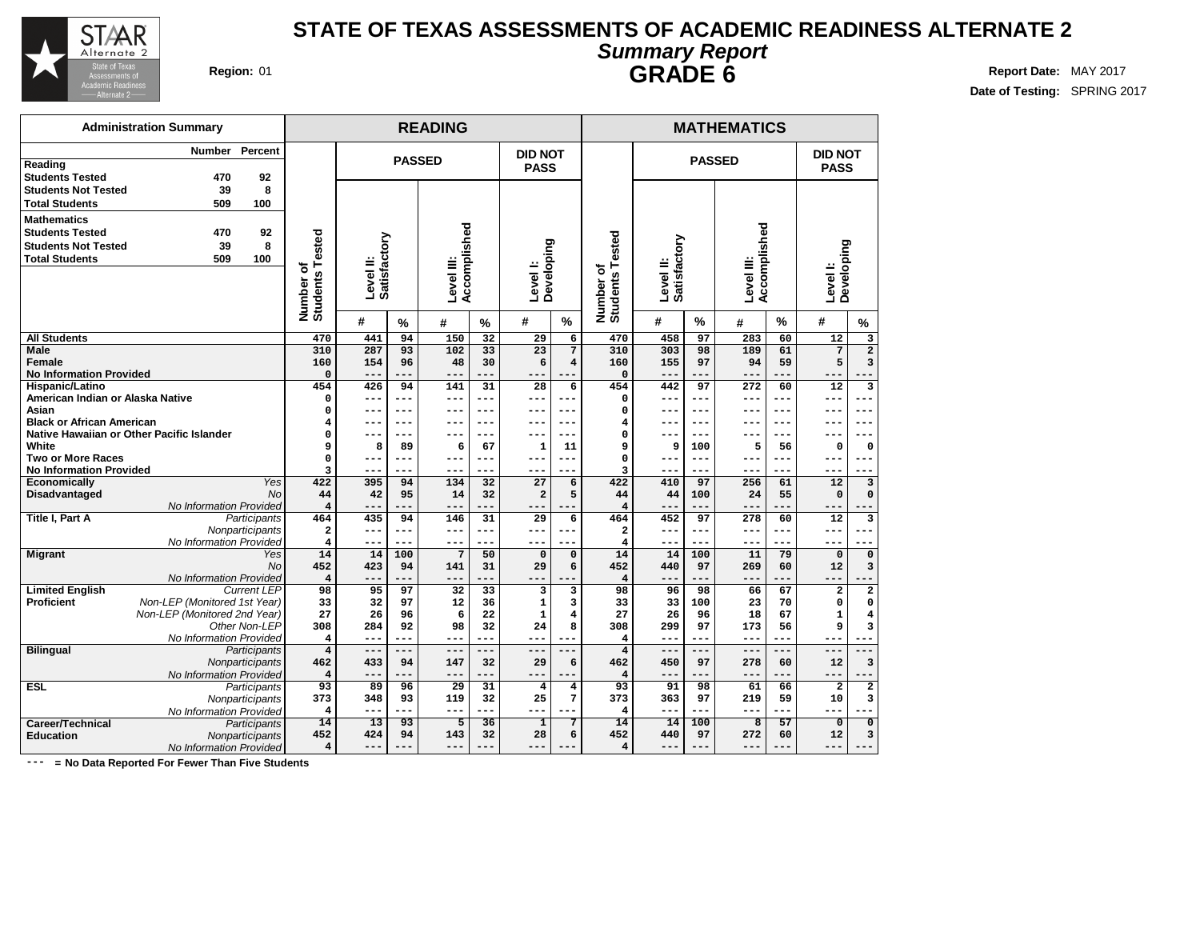

**Date of Testing:** SPRING 2017

| OMIIIIMI J INDIOIN |  |
|--------------------|--|
| <b>GRADE 6</b>     |  |

|                                           | <b>Administration Summary</b>             |                    |                               |                           |               | <b>READING</b>             |            |                        | <b>MATHEMATICS</b>      |                           |                           |                  |                            |            |                         |                         |  |
|-------------------------------------------|-------------------------------------------|--------------------|-------------------------------|---------------------------|---------------|----------------------------|------------|------------------------|-------------------------|---------------------------|---------------------------|------------------|----------------------------|------------|-------------------------|-------------------------|--|
|                                           | Number                                    | Percent            |                               |                           |               |                            |            | <b>DID NOT</b>         |                         |                           |                           |                  |                            |            | <b>DID NOT</b>          |                         |  |
| Reading                                   |                                           |                    |                               |                           | <b>PASSED</b> |                            |            | <b>PASS</b>            |                         |                           |                           | <b>PASSED</b>    |                            |            | <b>PASS</b>             |                         |  |
| <b>Students Tested</b>                    | 470                                       | 92                 |                               |                           |               |                            |            |                        |                         |                           |                           |                  |                            |            |                         |                         |  |
| <b>Students Not Tested</b>                | 39                                        | 8                  |                               |                           |               |                            |            |                        |                         |                           |                           |                  |                            |            |                         |                         |  |
| <b>Total Students</b>                     | 509                                       | 100                |                               |                           |               |                            |            |                        |                         |                           |                           |                  |                            |            |                         |                         |  |
| <b>Mathematics</b>                        |                                           |                    |                               |                           |               |                            |            |                        |                         |                           |                           |                  |                            |            |                         |                         |  |
| <b>Students Tested</b>                    | 470                                       | 92                 |                               |                           |               |                            |            |                        |                         |                           |                           |                  |                            |            |                         |                         |  |
| <b>Students Not Tested</b>                | 39                                        | 8                  |                               |                           |               |                            |            |                        |                         |                           |                           |                  |                            |            |                         |                         |  |
| <b>Total Students</b>                     | 509                                       | 100                |                               |                           |               |                            |            |                        |                         | ested                     |                           |                  |                            |            |                         |                         |  |
|                                           |                                           |                    |                               | Level II:<br>Satisfactory |               | Accomplished<br>Level III: |            | Level I:<br>Developing |                         | ⊢<br>৳                    | Level II:<br>Satisfactory |                  | Accomplished<br>Level III: |            | Developing<br>Level I:  |                         |  |
|                                           |                                           |                    |                               |                           |               |                            |            |                        |                         |                           |                           |                  |                            |            |                         |                         |  |
|                                           |                                           |                    |                               |                           |               |                            |            |                        |                         |                           |                           |                  |                            |            |                         |                         |  |
|                                           |                                           |                    | Number of<br>Students Tested  |                           |               |                            |            |                        |                         | <b>Students</b><br>Number |                           |                  |                            |            |                         |                         |  |
|                                           |                                           |                    |                               | #                         | %             | #                          | %          | #                      | %                       |                           | #                         | %                | #                          | %          | #                       | $\%$                    |  |
| <b>All Students</b>                       |                                           |                    | 470                           | 441                       | 94            | 150                        | 32         | 29                     | 6                       | 470                       | 458                       | 97               | 283                        | 60         | 12                      | 3                       |  |
| <b>Male</b>                               |                                           |                    | 310                           | 287                       | 93            | 102                        | 33         | 23                     | 7                       | 310                       | 303                       | 98               | 189                        | 61         | $\overline{7}$          | $\overline{2}$          |  |
| Female                                    |                                           |                    | 160                           | 154                       | 96            | 48                         | 30         | 6                      | $\overline{\mathbf{4}}$ | 160                       | 155                       | 97               | 94                         | 59         | 5                       | 3                       |  |
| <b>No Information Provided</b>            |                                           |                    | $\mathbf 0$                   | $- -$                     |               | --                         |            | ---                    |                         | $\mathbf 0$               | ---                       |                  | ---                        |            |                         |                         |  |
| Hispanic/Latino                           |                                           |                    | 454                           | 426                       | 94            | 141                        | 31         | 28                     | 6                       | 454                       | 442                       | 97               | 272                        | 60         | 12                      | $\overline{\mathbf{3}}$ |  |
| American Indian or Alaska Native          |                                           |                    | $\mathbf 0$                   | ---                       | ---           | $- - -$                    | ---        | ---                    | ---                     | 0                         | ---                       | $- - -$          | ---                        | ---        | ---                     | $- - -$                 |  |
| Asian<br><b>Black or African American</b> |                                           |                    | $\Omega$                      | ---                       | $---$         | ---                        | ---        | ---                    | ---                     | $\Omega$                  | ---                       | $---$<br>$- - -$ | ---                        | $---$      | ---                     | $---$                   |  |
|                                           | Native Hawaiian or Other Pacific Islander |                    | 4<br>0                        | ---                       | ---<br>---    | ---                        | ---<br>--- | $- -$                  | ---<br>---              | 4<br>$\mathbf 0$          | ---                       | $--$             |                            | ---<br>--- | --                      |                         |  |
| White                                     |                                           |                    | 9                             | 8                         | 89            | 6                          | 67         | 1                      | 11                      | 9                         | 9                         | 100              | 5                          | 56         | 0                       | 0                       |  |
| <b>Two or More Races</b>                  |                                           |                    | 0                             | ---                       | ---           | ---                        | ---        | ---                    | ---                     | $\mathbf 0$               | $- - -$                   | $- - -$          | ---                        | ---        | ---                     | --                      |  |
| <b>No Information Provided</b>            |                                           |                    | 3                             | ---                       | ---           | $- - -$                    | ---        | ---                    | ---                     | 3                         | ---                       | ---              | ---                        | ---        | ---                     |                         |  |
| Economically                              |                                           | Yes                | 422                           | 395                       | 94            | 134                        | 32         | 27                     | 6                       | 422                       | 410                       | 97               | 256                        | 61         | 12                      | 3                       |  |
| <b>Disadvantaged</b>                      |                                           | <b>No</b>          | 44                            | 42                        | 95            | 14                         | 32         | $\overline{a}$         | 5                       | 44                        | 44                        | 100              | 24                         | 55         | $\Omega$                | $\Omega$                |  |
|                                           | No Information Provided                   |                    | $\overline{\mathbf{4}}$       | ---                       |               | --                         |            |                        |                         | $\overline{4}$            | ---                       |                  |                            |            | ---                     |                         |  |
| Title I, Part A                           |                                           | Participants       | 464                           | 435                       | 94            | 146                        | 31         | 29                     | 6                       | 464                       | 452                       | 97               | 278                        | 60         | 12                      | 3                       |  |
|                                           |                                           | Nonparticipants    | $\mathbf{2}$                  | ---                       | ---           | ---                        | ---        | ---                    |                         | $\overline{\mathbf{2}}$   | ---                       | ---              | ---                        | ---        | ---                     |                         |  |
|                                           | No Information Provided                   |                    | $\overline{\mathbf{4}}$       | ---                       | ---           | $- - -$                    | ---        | $- - -$                | ---                     | $\overline{4}$            | $- - -$                   | $- - -$          | $- - -$                    | ---        | $- - -$                 | $- - -$                 |  |
| <b>Migrant</b>                            |                                           | Yes                | 14                            | 14                        | 100           | 7                          | 50         | $\Omega$               | $\Omega$                | 14                        | 14                        | 100              | 11                         | 79         | $\mathbf 0$             | 0                       |  |
|                                           |                                           | <b>No</b>          | 452                           | 423                       | 94            | 141<br>$- - -$             | 31         | 29                     | 6                       | 452                       | 440                       | 97               | 269                        | 60         | 12                      | 3                       |  |
| <b>Limited English</b>                    | No Information Provided                   | <b>Current LEP</b> | $\overline{\mathbf{4}}$<br>98 | ---<br>95                 | ---<br>97     | 32                         | ---        | 3                      | 3                       | $\overline{4}$<br>98      | ---<br>96                 | 98               |                            | 67         | 2                       | $\mathbf 2$             |  |
| <b>Proficient</b>                         | Non-LEP (Monitored 1st Year)              |                    | 33                            | 32                        | 97            | 12                         | 33<br>36   | $\mathbf{1}$           | 3                       | 33                        | 33                        | 100              | 66<br>23                   | 70         | 0                       | $\mathbf 0$             |  |
|                                           | Non-LEP (Monitored 2nd Year)              |                    | 27                            | 26                        | 96            | 6                          | 22         | $\mathbf{1}$           | 4                       | 27                        | 26                        | 96               | 18                         | 67         | $\mathbf{1}$            | $\overline{4}$          |  |
|                                           |                                           | Other Non-LEP      | 308                           | 284                       | 92            | 98                         | 32         | 24                     | 8                       | 308                       | 299                       | 97               | 173                        | 56         | 9                       | 3                       |  |
|                                           | No Information Provided                   |                    | 4                             | ---                       | ---           | ---                        | ---        | ---                    | ---                     | 4                         | ---                       |                  | ---                        |            |                         |                         |  |
| <b>Bilingual</b>                          |                                           | Participants       | $\overline{\mathbf{4}}$       | $---$                     | $---$         | $---$                      | ---        | ---                    | ---                     | $\overline{\mathbf{4}}$   | $---$                     |                  | ---                        | $---$      | $---$                   |                         |  |
|                                           |                                           | Nonparticipants    | 462                           | 433                       | 94            | 147                        | 32         | 29                     | 6                       | 462                       | 450                       | 97               | 278                        | 60         | 12                      | 3                       |  |
|                                           | No Information Provided                   |                    | $\overline{\mathbf{4}}$       | $- -$                     |               | $- -$                      |            | $- -$                  |                         | $\overline{4}$            | ---                       |                  |                            |            | $-$                     |                         |  |
| <b>ESL</b>                                |                                           | Participants       | 93                            | 89                        | 96            | 29                         | 31         | $\overline{4}$         | 4                       | 93                        | 91                        | 98               | 61                         | 66         | $\overline{\mathbf{2}}$ | $\overline{2}$          |  |
|                                           |                                           | Nonparticipants    | 373                           | 348                       | 93            | 119                        | 32         | 25                     | 7                       | 373                       | 363                       | 97               | 219                        | 59         | 10                      | 3                       |  |
|                                           | No Information Provided                   |                    | $\overline{\mathbf{4}}$       | ---                       | ---           | ---                        | ---        | ---                    |                         | $\overline{4}$            | ---                       | $---$            | ---                        |            | ---                     |                         |  |
| Career/Technical                          |                                           | Participants       | 14                            | 13                        | 93            | 5                          | 36         | $\overline{1}$         | 7                       | 14                        | 14                        | 100              | $\overline{8}$             | 57         | $\overline{0}$          | $\overline{\mathbf{0}}$ |  |
| <b>Education</b>                          |                                           | Nonparticipants    | 452                           | 424                       | 94            | 143                        | 32         | 28                     | 6                       | 452                       | 440                       | 97               | 272                        | 60         | 12                      | 3                       |  |
|                                           | No Information Provided                   |                    | $\overline{4}$                | ---                       |               | ---                        |            | $- -$                  |                         | $\overline{4}$            | ---                       |                  | ---                        |            | ---                     | $---$                   |  |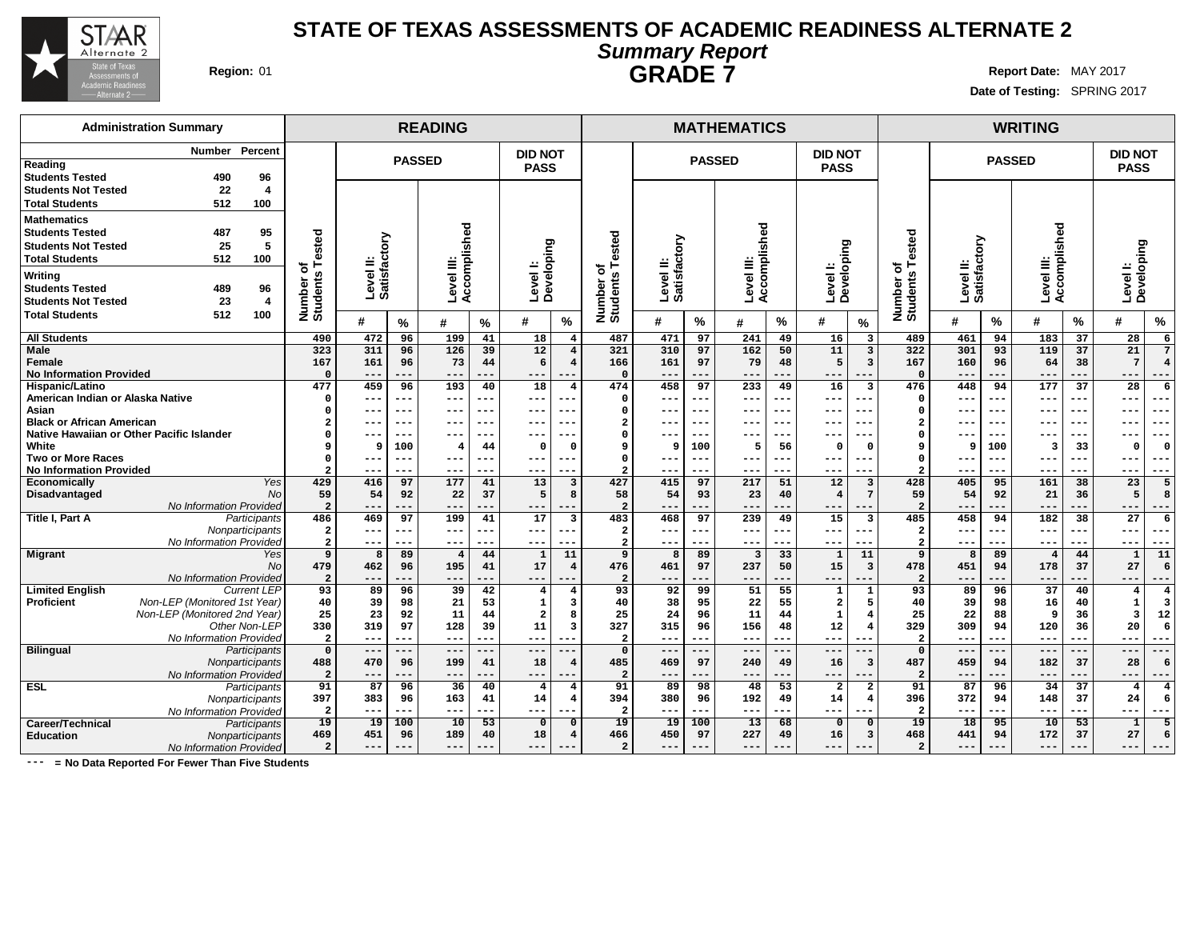

**Date of Testing:** SPRING 2017

**2 --- --- --- --- --- ---**

## **Administration Summary Number Percent Reading Students Tested 490 96 Students Not Tested 22 4 Total Students 512 100 Mathematics Students Tested 487 95 Students Not Tested 25 5 Total Students 512 100 Writing Students Tested 489 96 Students Not Tested 23 4 Total Students 512 100 READING MATHEMATICS WRITING PASSED DID NOT PASS PASSED DID NOT PASS PASSED DID NOT PASS Number of Students Tested Level II: Satisfactory Level III: Accomplished Level I: Developing Number of Students Tested Level II: Satisfactory Level III: Accomplished Level I: Developing Number of Students Tested Level II: Satisfactory Level III: Accomplished Level I: Developing # % # % # % # % # % # % # % # % # % All Students Male Female No Information Provided Hispanic/Latino American Indian or Alaska Native Asian Black or African American Native Hawaiian or Other Pacific Islander White Two or More Races No Information Provided Economically** Yes **Disadvantaged** No. 2006. No. 2006. No. 2006. No. 2006. No. 2006. No. 2006. No. 2006. No. 2006. No. 2006. No. 2006. No. 2007. No. 2007. No. 2007. No. 2007. No. 2007. No. 2007. No. 2007. No. 2007. No. 2008. No. 2008. No. 20 No Information Provided **Title I, Part A** Participants **Nonparticipants** No Information Provided **Migrant** Yes **No No Information Provided**<br>Current LEP Limited **English**<br>Proficient **Proficient** Non-LEP (Monitored 1st Year) Non-LEP (Monitored 2nd Year) Other Non-LEP No Information Provided **Bilingual** Participants **Nonparticipants** No Information Provided **ESL** Participants **Nonparticipants No Information Provided Career/Technical** Participants<br> **Education** Monparticipants **Education** Nonparticipants No Information Provided **490 472 96 199 41 18 4 323 311 96 126 39 12 4 167 161 96 73 44 6 4 0 --- --- --- --- --- --- 477 459 96 193 40 18 4 0 --- --- --- --- --- --- 0 --- --- --- --- --- --- 2 --- --- --- --- --- --- 0 --- --- --- --- --- --- 9 9 100 4 44 0 0 0 --- --- --- --- --- --- 2 --- --- --- --- --- --- 429 416 97 177 41 13 3 59 54 92 22 37 5 8 2 --- --- --- --- --- --- 486 469 97 199 41 17 3 2 --- --- --- --- --- --- 2 --- --- --- --- --- --- 9 8 89 4 44 1 11 479 462 96 195 41 17 4 2 --- --- --- --- --- --- 93 89 96 39 42 4 4 40 39 98 21 53 1 3 25 23 92 11 44 2 8 330 319 97 128 39 11 3 2 --- --- --- --- --- --- 0 --- --- --- --- --- --- 488 470 96 199 41 18 4 2 --- --- --- --- --- --- 91 87 96 36 40 4 4 397 383 96 163 41 14 4 2 --- --- --- --- --- --- 19 19 100 10 53 0 0 469 451 96 189 40 18 4 487 471 97 241 49 16 3 321 310 97 162 50 11 3 166 161 97 79 48 5 3 0 --- --- --- --- --- --- 474 458 97 233 49 16 3 0 --- --- --- --- --- --- 0 --- --- --- --- --- --- 2 --- --- --- --- --- --- 0 --- --- --- --- --- --- 9 9 100 5 56 0 0 0 --- --- --- --- --- --- 2 --- --- --- --- --- --- 427 415 97 217 51 12 3 58 54 93 23 40 4 7 2 --- --- --- --- --- --- 483 468 97 239 49 15 3 2 --- --- --- --- --- --- 2 --- --- --- --- --- --- 9 8 89 3 33 1 11 476 461 97 237 50 15 3 2 --- --- --- --- --- --- 93 92 99 51 55 1 1 40 38 95 22 55 2 5 25 24 96 11 44 1 4 327 315 96 156 48 12 4 2 --- --- --- --- --- --- 0 --- --- --- --- --- --- 485 469 97 240 49 16 3 2 --- --- --- --- --- --- 91 89 98 48 53 2 2 394 380 96 192 49 14 4 2 --- --- --- --- --- --- 19 19 100 13 68 0 0 466 450 97 227 49 16 3 489 461 94 183 37 28 6 322 301 93 119 37 21 7 167 160 96 64 38 7 4 0 --- --- --- --- --- --- 476 448 94 177 37 28 6 0 --- --- --- --- --- --- 0 --- --- --- --- --- --- 2 --- --- --- --- --- --- 0 --- --- --- --- --- --- 9 9 100 3 33 0 0 0 --- --- --- --- --- --- 2 --- --- --- --- --- --- 428 405 95 161 38 23 5 59 54 92 21 36 5 8 2 --- --- --- --- --- --- 485 458 94 182 38 27 6 2 --- --- --- --- --- --- 2 --- --- --- --- --- --- 9 8 89 4 44 1 11 478 451 94 178 37 27 6 2 --- --- --- --- --- --- 93 89 96 37 40 4 4 40 39 98 16 40 1 3 25 22 88 9 36 3 12 329 309 94 120 36 20 6 2 --- --- --- --- --- --- 0 --- --- --- --- --- --- 487 459 94 182 37 28 6 2 --- --- --- --- --- --- 91 87 96 34 37 4 4 396 372 94 148 37 24 6 2 --- --- --- --- --- --- 19 18 95 10 53 1 5 468 441 94 172 37 27 6**

**2 --- --- --- --- --- ---**

**2 --- --- --- --- --- ---**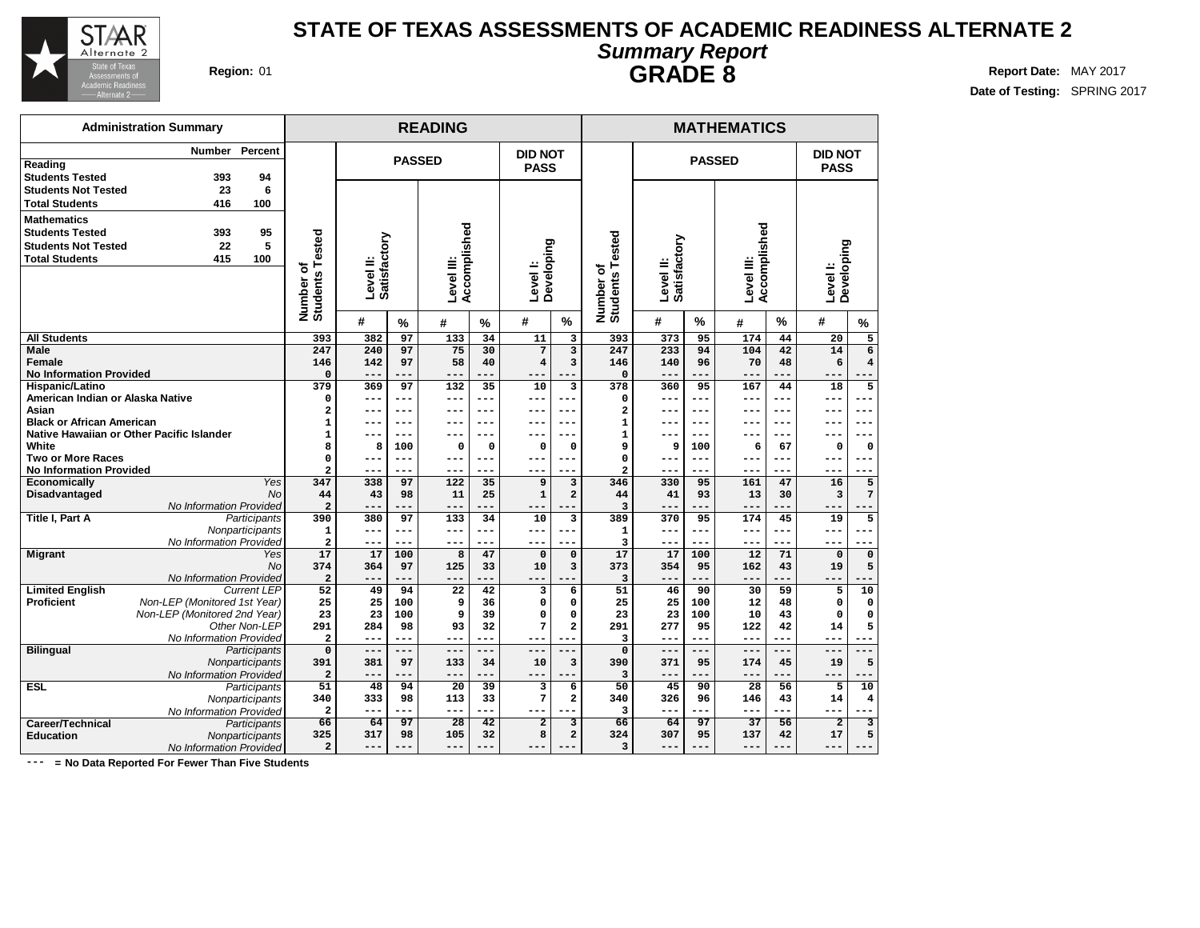

**Date of Testing:** SPRING 2017

| $\sim$ annually respect to |  |
|----------------------------|--|
| <b>GRADE 8</b>             |  |
|                            |  |
|                            |  |
|                            |  |
|                            |  |

|                                             | <b>Administration Summary</b>                                |                 |                              |                           | <b>MATHEMATICS</b> |                            |               |                        |                         |                              |                           |                 |                            |           |                |                         |  |
|---------------------------------------------|--------------------------------------------------------------|-----------------|------------------------------|---------------------------|--------------------|----------------------------|---------------|------------------------|-------------------------|------------------------------|---------------------------|-----------------|----------------------------|-----------|----------------|-------------------------|--|
|                                             | Number                                                       | Percent         |                              |                           |                    |                            |               | <b>DID NOT</b>         |                         |                              |                           |                 |                            |           | <b>DID NOT</b> |                         |  |
| Reading                                     |                                                              |                 |                              |                           |                    | <b>PASSED</b>              |               | <b>PASS</b>            |                         |                              |                           | <b>PASSED</b>   |                            |           | <b>PASS</b>    |                         |  |
| <b>Students Tested</b>                      | 393                                                          | 94              |                              |                           |                    |                            |               |                        |                         |                              |                           |                 |                            |           |                |                         |  |
| <b>Students Not Tested</b>                  | 23                                                           | 6               |                              |                           |                    |                            |               |                        |                         |                              |                           |                 |                            |           |                |                         |  |
| <b>Total Students</b>                       | 416                                                          | 100             |                              |                           |                    |                            |               |                        |                         |                              |                           |                 |                            |           |                |                         |  |
| <b>Mathematics</b>                          |                                                              |                 |                              |                           |                    |                            |               |                        |                         |                              |                           |                 |                            |           |                |                         |  |
| <b>Students Tested</b>                      | 393                                                          | 95              |                              |                           |                    |                            |               |                        |                         |                              |                           |                 |                            |           |                |                         |  |
| <b>Students Not Tested</b>                  | 22                                                           | 5               |                              |                           |                    |                            |               |                        |                         |                              |                           |                 |                            |           |                |                         |  |
| <b>Total Students</b>                       | 415                                                          | 100             |                              |                           |                    |                            |               |                        |                         | ested                        |                           |                 |                            |           |                |                         |  |
|                                             |                                                              |                 |                              | Satisfactory<br>Level II: |                    | Accomplished<br>Level III: |               | Level I:<br>Developing |                         |                              | Level II:<br>Satisfactory |                 | Accomplished<br>Level III: |           | Developing     |                         |  |
|                                             |                                                              |                 |                              |                           |                    |                            |               |                        |                         |                              |                           |                 |                            |           |                |                         |  |
|                                             |                                                              |                 |                              |                           |                    |                            |               |                        |                         |                              |                           |                 |                            |           | Level I:       |                         |  |
|                                             |                                                              |                 | Number of<br>Students Tested |                           |                    |                            |               |                        |                         | Number of<br>Students Te     |                           |                 |                            |           |                |                         |  |
|                                             |                                                              |                 |                              | #                         | $\%$               | #                          | $\frac{9}{6}$ | #                      | %                       |                              | #                         | $\frac{9}{6}$   | #                          | $\%$      | #              | $\frac{9}{6}$           |  |
| <b>All Students</b>                         |                                                              |                 | 393                          | 382                       | 97                 | 133                        | 34            | 11                     | 3                       | 393                          | 373                       | 95              | 174                        | 44        | 20             | 5                       |  |
| Male                                        |                                                              |                 | 247                          | 240                       | 97                 | 75                         | 30            | 7                      | $\overline{\mathbf{3}}$ | 247                          | 233                       | 94              | 104                        | 42        | 14             | $\overline{6}$          |  |
| Female                                      |                                                              |                 | 146                          | 142                       | 97                 | 58                         | 40            | 4                      | 3                       | 146                          | 140                       | 96              | 70                         | 48        | 6              | $\overline{\mathbf{4}}$ |  |
| <b>No Information Provided</b>              |                                                              |                 | $\mathbf 0$                  | $--$                      | ---                | $- -$                      |               | ---                    |                         | $\Omega$                     | $--$                      |                 | ---                        |           | $-$            |                         |  |
| Hispanic/Latino                             |                                                              |                 | 379                          | 369                       | 97                 | 132                        | 35            | 10                     | 3                       | 378                          | 360                       | 95              | 167                        | 44        | 18             | $\overline{5}$          |  |
| American Indian or Alaska Native            |                                                              |                 | $\mathbf 0$                  | $---$                     | ---                | $---$                      | ---           | ---                    | ---                     | 0                            | $---$                     | $---$           | ---                        | $--$      | ---            | ---                     |  |
| Asian                                       |                                                              |                 | $\overline{a}$               |                           | ---                | --                         | $---$         | ---                    | $---$                   | $\overline{a}$               | $--$                      | $---$           |                            |           |                | ---                     |  |
| <b>Black or African American</b>            | Native Hawaiian or Other Pacific Islander                    |                 | $\mathbf{1}$<br>$\mathbf 1$  |                           | ---<br>---         | --                         | ---<br>---    |                        | ---                     | $\mathbf{1}$<br>$\mathbf{1}$ | ---                       | $- - -$<br>$--$ |                            | $- - -$   |                |                         |  |
| White                                       |                                                              |                 | 8                            | $- -$<br>8                | 100                | $- -$<br>0                 | $\mathbf 0$   | --<br>$\Omega$         | ---<br>0                | 9                            | $- -$<br>9                | 100             | ---<br>6                   | ---<br>67 | --<br>0        | ---<br>0                |  |
| <b>Two or More Races</b>                    |                                                              |                 | 0                            | ---                       | ---                | ---                        | $---$         | ---                    | ---                     | 0                            | ---                       | $- - -$         | ---                        | $- - -$   | ---            | ---                     |  |
| <b>No Information Provided</b>              |                                                              |                 | $\overline{a}$               | ---                       | ---                | ---                        | ---           | ---                    | ---                     | $\overline{a}$               | ---                       | ---             | ---                        | ---       | ---            |                         |  |
| Economically                                |                                                              | Yes             | 347                          | 338                       | 97                 | 122                        | 35            | 9                      | 3                       | 346                          | 330                       | 95              | 161                        | 47        | 16             | 5                       |  |
| <b>Disadvantaged</b>                        |                                                              | <b>No</b>       | 44                           | 43                        | 98                 | 11                         | 25            | $\mathbf{1}$           | $\overline{a}$          | 44                           | 41                        | 93              | 13                         | 30        | 3              | 7                       |  |
|                                             | No Information Provided                                      |                 | $\overline{\mathbf{c}}$      | $ -$                      |                    | $- -$                      |               |                        |                         | 3                            | $- -$                     |                 | ---                        |           | --             |                         |  |
| <b>Title I, Part A</b>                      |                                                              | Participants    | 390                          | 380                       | 97                 | 133                        | 34            | 10                     | $\overline{\mathbf{3}}$ | 389                          | 370                       | 95              | 174                        | 45        | 19             | 5                       |  |
|                                             |                                                              | Nonparticipants | $\mathbf{1}$                 | $---$                     | ---                | $---$                      | $---$         | ---                    | ---                     | $\mathbf{1}$                 | $---$                     | $- - -$         | ---                        | $- - -$   | ---            |                         |  |
|                                             | No Information Provided                                      |                 | $\overline{a}$               | ---                       | ---                | $- -$                      | ---           | ---                    | ---                     | 3                            | $---$                     | $---$           | ---                        | $- - -$   | ---            |                         |  |
| <b>Migrant</b>                              |                                                              | Yes             | 17                           | 17                        | 100                | 8                          | 47            | $\Omega$               | $\Omega$                | 17                           | 17                        | 100             | 12                         | 71        | $\Omega$       | $\mathbf 0$             |  |
|                                             |                                                              | <b>No</b>       | 374                          | 364                       | 97                 | 125                        | 33            | 10                     | 3                       | 373                          | 354                       | 95              | 162                        | 43        | 19             | 5                       |  |
|                                             | No Information Provided                                      |                 | $\overline{\mathbf{c}}$      | $- - -$                   | ---                | $- - -$                    |               | ---                    |                         | 3                            | $- - -$                   |                 | ---                        |           | ---            |                         |  |
| <b>Limited English</b><br><b>Proficient</b> |                                                              | Current LEP     | 52                           | 49                        | 94                 | 22<br>9                    | 42            | 3                      | 6                       | 51                           | 46                        | 90              | 30                         | 59        | 5              | 10                      |  |
|                                             | Non-LEP (Monitored 1st Year)<br>Non-LEP (Monitored 2nd Year) |                 | 25<br>23                     | 25<br>23                  | 100<br>100         | 9                          | 36<br>39      | 0<br>$\Omega$          | $\mathbf 0$<br>$\Omega$ | 25<br>23                     | 25<br>23                  | 100<br>100      | 12<br>10                   | 48<br>43  | 0<br>O         | 0<br>0                  |  |
|                                             |                                                              | Other Non-LEP   | 291                          | 284                       | 98                 | 93                         | 32            | 7                      | $\mathbf 2$             | 291                          | 277                       | 95              | 122                        | 42        | 14             | 5                       |  |
|                                             | No Information Provided                                      |                 | $\overline{\mathbf{c}}$      | $---$                     | ---                | $---$                      | $---$         | ---                    |                         | $\overline{\mathbf{3}}$      | $---$                     | $---$           | ---                        | $- - -$   | ---            |                         |  |
| <b>Bilingual</b>                            |                                                              | Participants    | $\mathbf 0$                  | $-- -$                    | $-- -$             | $-- -$                     | $---$         | ---                    |                         | $\mathbf 0$                  | $---$                     | $---$           | $---$                      |           | $---$          |                         |  |
|                                             |                                                              | Nonparticipants | 391                          | 381                       | 97                 | 133                        | 34            | 10                     | 3                       | 390                          | 371                       | 95              | 174                        | 45        | 19             | 5                       |  |
|                                             | No Information Provided                                      |                 | $\overline{a}$               |                           |                    | $- -$                      |               | ---                    |                         | $\overline{3}$               | ---                       |                 | ---                        |           | ---            |                         |  |
| <b>ESL</b>                                  |                                                              | Participants    | 51                           | 48                        | 94                 | 20                         | 39            | 3                      | 6                       | $\overline{50}$              | 45                        | 90              | 28                         | 56        | 5              | 10                      |  |
|                                             |                                                              | Nonparticipants | 340                          | 333                       | 98                 | 113                        | 33            | 7                      | $\mathbf{2}$            | 340                          | 326                       | 96              | 146                        | 43        | 14             | 4                       |  |
|                                             | No Information Provided                                      |                 | $\overline{\mathbf{c}}$      | ---                       | ---                | ---                        | ---           |                        |                         | 3                            | ---                       | ---             | ---                        | $- - -$   | ---            |                         |  |
| Career/Technical                            | Participants                                                 |                 |                              |                           | 97                 | 28                         | 42            | $\overline{2}$         | 3                       | 66                           | 64                        | 97              | $\overline{37}$            | 56        | $\overline{2}$ | 3                       |  |
| <b>Education</b>                            |                                                              | Nonparticipants | 325                          | 317                       | 98                 | 105                        | 32            | 8                      | $\overline{a}$          | 324                          | 307                       | 95              | 137                        | 42        | 17             | 5                       |  |
|                                             | No Information Provided                                      |                 | $\overline{a}$               | $--$                      | ---                | $- -$                      |               | --                     |                         | $\overline{\mathbf{3}}$      | $---$                     |                 | ---                        |           | ---            |                         |  |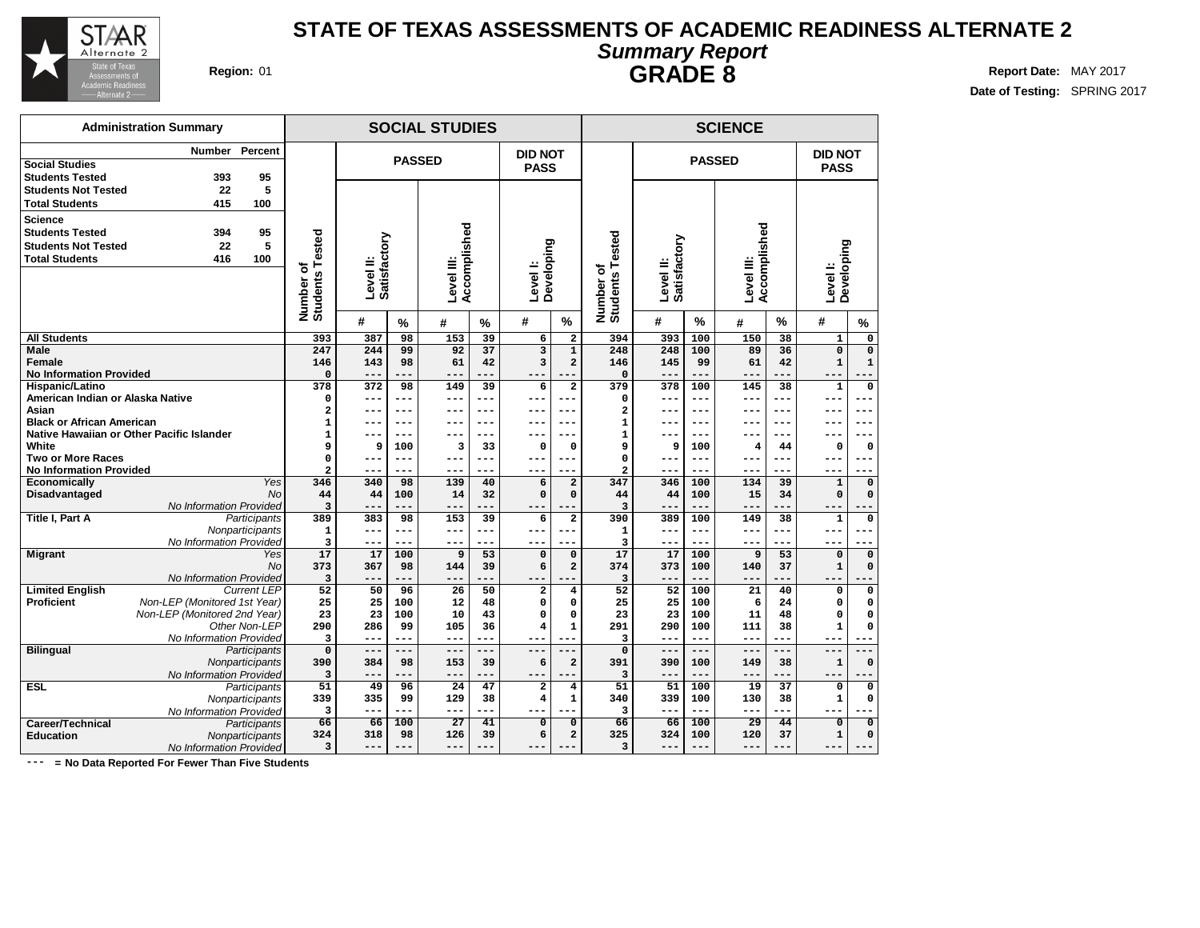

**Date of Testing:** SPRING 2017

|                                      | <b>Administration Summary</b>             |                 |                              |                           | <b>SCIENCE</b> |                            |          |                        |                            |                          |                           |               |                            |                 |                        |                                   |  |
|--------------------------------------|-------------------------------------------|-----------------|------------------------------|---------------------------|----------------|----------------------------|----------|------------------------|----------------------------|--------------------------|---------------------------|---------------|----------------------------|-----------------|------------------------|-----------------------------------|--|
|                                      | Number                                    | Percent         |                              |                           | <b>PASSED</b>  |                            |          | <b>DID NOT</b>         |                            |                          |                           | <b>PASSED</b> |                            |                 | DID NOT                |                                   |  |
| <b>Social Studies</b>                |                                           |                 |                              |                           |                |                            |          | <b>PASS</b>            |                            |                          |                           |               |                            |                 | <b>PASS</b>            |                                   |  |
| <b>Students Tested</b>               | 393                                       | 95              |                              |                           |                |                            |          |                        |                            |                          |                           |               |                            |                 |                        |                                   |  |
| <b>Students Not Tested</b>           | 22                                        | 5               |                              |                           |                |                            |          |                        |                            |                          |                           |               |                            |                 |                        |                                   |  |
| <b>Total Students</b>                | 415                                       | 100             |                              |                           |                |                            |          |                        |                            |                          |                           |               |                            |                 |                        |                                   |  |
| <b>Science</b>                       |                                           |                 |                              |                           |                |                            |          |                        |                            |                          |                           |               |                            |                 |                        |                                   |  |
| <b>Students Tested</b>               | 394                                       | 95              |                              |                           |                |                            |          |                        |                            |                          |                           |               |                            |                 |                        |                                   |  |
| <b>Students Not Tested</b>           | 22                                        | 5               |                              |                           |                |                            |          |                        |                            | ested                    |                           |               |                            |                 |                        |                                   |  |
| <b>Total Students</b>                | 416                                       | 100             |                              |                           |                |                            |          |                        |                            |                          |                           |               |                            |                 |                        |                                   |  |
|                                      |                                           |                 | Number of<br>Students Tested | Level II:<br>Satisfactory |                | Accomplished<br>Level III: |          | Level I:<br>Developing |                            | Number of<br>Students Te | Satisfactory<br>Level II: |               | Accomplished<br>Level III: |                 | Developing<br>Level I: |                                   |  |
|                                      |                                           |                 |                              |                           |                |                            |          |                        |                            |                          |                           |               |                            |                 |                        |                                   |  |
|                                      |                                           |                 |                              |                           |                |                            |          |                        |                            |                          |                           |               |                            |                 |                        |                                   |  |
|                                      |                                           |                 |                              |                           |                |                            |          |                        |                            |                          |                           |               |                            |                 |                        |                                   |  |
|                                      |                                           |                 |                              | #                         | $\%$           | #                          | $\%$     | #                      | %                          |                          | #                         | $\%$          | #                          | $\%$            | #                      | %                                 |  |
| <b>All Students</b>                  |                                           |                 | 393                          | 387                       | 98             | 153                        | 39       | 6                      | $\overline{\mathbf{2}}$    | 394                      | 393                       | 100           | 150                        | 38              | $\mathbf{1}$           | 0                                 |  |
| Male                                 |                                           |                 | 247                          | 244                       | 99             | 92                         | 37       | $\overline{3}$         | $\mathbf{1}$               | 248                      | 248                       | 100           | 89                         | 36              | $\mathbf{o}$           | $\mathbf 0$                       |  |
| Female                               |                                           |                 | 146                          | 143                       | 98             | 61                         | 42       | 3                      | $\overline{a}$             | 146                      | 145                       | 99            | 61                         | 42              | $\mathbf{1}$           | $\mathbf{1}$                      |  |
| <b>No Information Provided</b>       |                                           |                 | 0                            | $- -$                     | ---            | $- -$                      |          |                        |                            | $\mathbf 0$              | $- -$                     | $- - -$       | ---                        |                 | $ -$                   |                                   |  |
| Hispanic/Latino                      |                                           |                 | 378                          | 372                       | 98             | 149                        | 39       | 6                      | $\overline{a}$             | 379                      | 378                       | 100           | 145                        | 38              | ${\bf 1}$              | $\mathbf 0$                       |  |
| American Indian or Alaska Native     |                                           |                 | 0                            | ---                       | ---            | ---                        | ---      | ---                    | $---$                      | 0                        | $--$                      | $- - -$       | ---                        | $---$           | ---                    | .<br>--                           |  |
| Asian                                |                                           |                 | $\overline{\mathbf{2}}$      | ---                       | ---            | ---                        | $---$    | ---                    | $---$                      | 2                        | $--$                      | $---$         | ---                        | $- - -$         | ---                    | ---                               |  |
| <b>Black or African American</b>     |                                           |                 | $\mathbf 1$                  |                           | $---$          |                            | $---$    |                        | ---                        | 1                        |                           | $---$         |                            | $- -$           |                        | $---$                             |  |
|                                      | Native Hawaiian or Other Pacific Islander |                 | $\mathbf 1$                  | --                        | ---            | $- -$                      | $---$    |                        | ---                        | $\mathbf{1}$             | $--$                      | ---           | ---                        | $- - -$         | ---                    | ---                               |  |
| White                                |                                           |                 | 9                            | 9                         | 100            | з                          | 33       | 0                      | 0                          | 9                        | 9                         | 100           | 4                          | 44              | 0                      | 0                                 |  |
| <b>Two or More Races</b>             |                                           |                 | 0                            | $- -$                     | ---            | ---                        | $---$    | ---                    | ---                        | 0                        | ---                       | $- - -$       | ---                        | $- - -$         | --                     | --                                |  |
| <b>No Information Provided</b>       |                                           | Yes             | $\overline{a}$               | $- - -$                   | ---            | ---                        | ---      | ---                    | ---                        | 2                        | ---                       | ---           | ---                        | ---             | ---                    |                                   |  |
| Economically<br><b>Disadvantaged</b> |                                           | <b>No</b>       | 346<br>44                    | 340<br>44                 | 98<br>100      | 139<br>14                  | 40<br>32 | 6<br>$\Omega$          | $\overline{a}$<br>$\Omega$ | 347<br>44                | 346<br>44                 | 100<br>100    | 134<br>15                  | 39<br>34        | $\mathbf 1$<br>0       | $\pmb{\mathsf{O}}$<br>$\mathbf 0$ |  |
|                                      | No Information Provided                   |                 | 3                            | $- -$                     | ---            | $- -$                      | ---      | ---                    |                            | 3                        | $- - -$                   | $- - -$       | ---                        |                 | --                     |                                   |  |
| Title I, Part A                      |                                           | Participants    | 389                          | 383                       | 98             | 153                        | 39       | 6                      | $\mathbf{2}$               | 390                      | 389                       | 100           | 149                        | 38              | 1                      | 0                                 |  |
|                                      |                                           | Nonparticipants | $\mathbf 1$                  | $---$                     | ---            | ---                        | $---$    | ---                    | ---                        | $\mathbf{1}$             | $---$                     | $---$         | ---                        | $- - -$         | --                     |                                   |  |
|                                      | No Information Provided                   |                 | 3                            | $- -$                     | ---            | ---                        | ---      | ---                    | ---                        | 3                        | $---$                     | $---$         | ---                        | $- - -$         | ---                    | ---                               |  |
| <b>Migrant</b>                       |                                           | Yes             | 17                           | 17                        | 100            | 9                          | 53       | 0                      | $\mathbf 0$                | 17                       | 17                        | 100           | 9                          | 53              | $\Omega$               | 0                                 |  |
|                                      |                                           | <b>No</b>       | 373                          | 367                       | 98             | 144                        | 39       | 6                      | $\overline{a}$             | 374                      | 373                       | 100           | 140                        | 37              | $\mathbf{1}$           | $\mathbf 0$                       |  |
|                                      | No Information Provided                   |                 | 3                            |                           | ---            |                            |          | $- -$                  |                            | 3                        | $- - -$                   | $- - -$       | ---                        |                 |                        |                                   |  |
| <b>Limited English</b>               |                                           | Current LEP     | 52                           | 50                        | 96             | 26                         | 50       | $\overline{a}$         | $\overline{\mathbf{4}}$    | 52                       | 52                        | 100           | 21                         | 40              | 0                      | 0                                 |  |
| Proficient                           | Non-LEP (Monitored 1st Year)              |                 | 25                           | 25                        | 100            | 12                         | 48       | 0                      | 0                          | 25                       | 25                        | 100           | 6                          | 24              | 0                      | 0                                 |  |
|                                      | Non-LEP (Monitored 2nd Year)              |                 | 23                           | 23                        | 100            | 10                         | 43       | 0                      | $\Omega$                   | 23                       | 23                        | 100           | 11                         | 48              | O                      | $\Omega$                          |  |
|                                      |                                           | Other Non-LEP   | 290                          | 286                       | 99             | 105                        | 36       | 4                      | $\mathbf{1}$               | 291                      | 290                       | 100           | 111                        | 38              | 1                      | $\Omega$                          |  |
|                                      | No Information Provided                   |                 | 3                            | ---                       | ---            | ---                        | ---      | ---                    | $- - -$                    | 3                        | ---                       | ---           | ---                        | $- - -$         | ---                    |                                   |  |
| <b>Bilingual</b>                     |                                           | Participants    | $\mathbf 0$                  | $---$                     | ---            | ---                        | ---      | ---                    |                            | $\Omega$                 | $---$                     | $---$         | ---                        |                 | ---                    |                                   |  |
|                                      |                                           | Nonparticipants | 390                          | 384                       | 98             | 153                        | 39       | 6                      | $\overline{a}$             | 391                      | 390                       | 100           | 149                        | 38              | $\mathbf{1}$           | $\mathbf 0$                       |  |
|                                      | No Information Provided                   |                 | 3                            | $- -$                     | ---            | $--$                       | ---      | $- - -$                | ---                        | 3                        | $---$                     | ---           | $---$                      | ---             | $- - -$                |                                   |  |
| <b>ESL</b>                           |                                           | Participants    | 51                           | 49                        | 96             | $\overline{24}$            | 47       | $\overline{a}$         | $\overline{\mathbf{4}}$    | $\overline{51}$          | 51                        | 100           | $\overline{19}$            | $\overline{37}$ | $\mathbf 0$            | $\overline{\mathbf{0}}$           |  |
|                                      |                                           | Nonparticipants | 339                          | 335                       | 99             | 129                        | 38       | 4                      | $\mathbf{1}$               | 340                      | 339                       | 100           | 130                        | 38              | ${\bf 1}$              | $\mathbf 0$                       |  |
|                                      | No Information Provided                   |                 | 3                            | --                        | ---            | ---                        | ---      | ---                    |                            | 3                        | ---                       | $---$         | ---                        |                 | ---                    |                                   |  |
| <b>Career/Technical</b>              |                                           | Participants    | 66                           | 66                        | 100            | $\overline{27}$            | 41       | 0                      | $\mathbf 0$                | 66                       | 66                        | 100           | 29                         | 44              | $\overline{0}$         | $\overline{\mathfrak{o}}$         |  |
| <b>Education</b>                     |                                           | Nonparticipants | 324                          | 318                       | 98             | 126                        | 39       | 6                      | $\overline{a}$             | 325                      | 324                       | 100           | 120                        | 37              | $\mathbf{1}$           | $\mathbf 0$                       |  |
|                                      | No Information Provided                   |                 | 3                            | ---                       | ---            | $---$                      | ---      | ---                    |                            | 3                        | $- - -$                   | $---$         | ---                        | ---             | ---                    | $---$                             |  |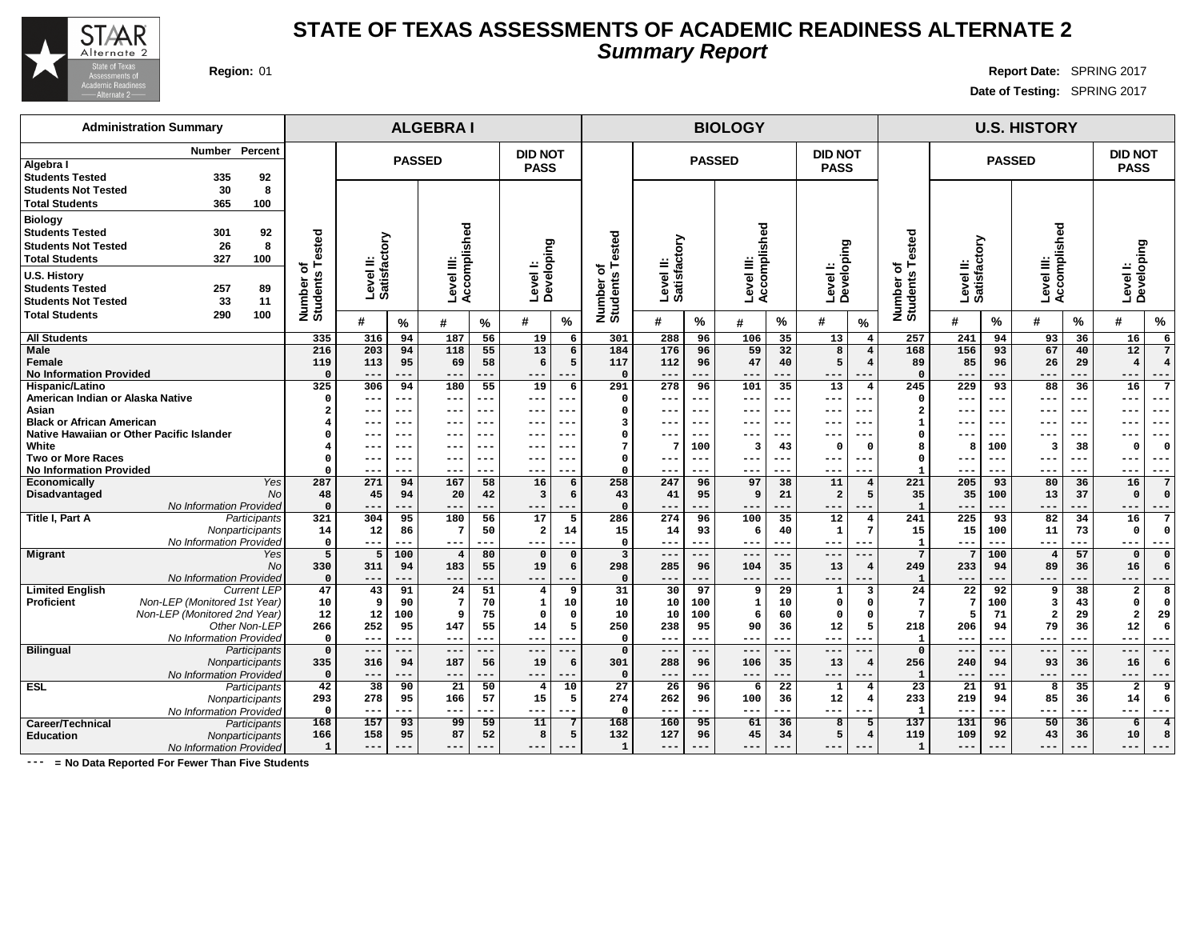

## **STATE OF TEXAS ASSESSMENTS OF ACADEMIC READINESS ALTERNATE 2 Summary Report**

**Region:** 01 **Report Date:** SPRING 2017 **Date of Testing:** SPRING 2017

| <b>Administration Summary</b>                                                                                                         |                            |                           |               | <b>ALGEBRAI</b>          |                |                                      |          | <b>BIOLOGY</b>                 |                            |               |                         |                        |                               |                                                |                                       | <b>U.S. HISTORY</b>      |               |                              |           |                                  |                |
|---------------------------------------------------------------------------------------------------------------------------------------|----------------------------|---------------------------|---------------|--------------------------|----------------|--------------------------------------|----------|--------------------------------|----------------------------|---------------|-------------------------|------------------------|-------------------------------|------------------------------------------------|---------------------------------------|--------------------------|---------------|------------------------------|-----------|----------------------------------|----------------|
| Percent<br>Number<br>Algebra I<br><b>Students Tested</b><br>92<br>335                                                                 |                            |                           | <b>PASSED</b> |                          |                | <b>DID NOT</b><br><b>PASS</b>        |          |                                |                            | <b>PASSED</b> |                         |                        | <b>DID NOT</b><br><b>PASS</b> |                                                |                                       |                          | <b>PASSED</b> |                              |           | <b>DID NOT</b><br><b>PASS</b>    |                |
| 30<br>8<br><b>Students Not Tested</b><br><b>Total Students</b><br>365<br>100                                                          |                            |                           |               |                          |                |                                      |          |                                |                            |               |                         |                        |                               |                                                |                                       |                          |               |                              |           |                                  |                |
| <b>Biology</b><br><b>Students Tested</b><br>301<br>92<br><b>Students Not Tested</b><br>26<br>8<br><b>Total Students</b><br>327<br>100 | Tested                     | Level II:<br>Satisfactory |               | Accomplished             |                |                                      |          | ested                          |                            |               | Accomplished            |                        |                               |                                                |                                       | actory                   |               | Accomplished                 |           |                                  |                |
| <b>U.S. History</b><br>257<br><b>Students Tested</b><br>89<br>33<br>11<br><b>Students Not Tested</b>                                  | ৳<br>Number of<br>Students |                           |               | Level III:               |                | Level I:<br>Developing               |          | ৳<br>Number o<br>Students      | Level II:<br>Satisfactory  |               | Level III:              |                        | Level I:<br>Developing        |                                                | <b>Students Tested</b><br>৳<br>Number | Level II:<br>Satisfac    |               | Level III:                   |           | Developing<br>Level I:           |                |
| <b>Total Students</b><br>100<br>290                                                                                                   |                            | #                         | %             | #                        | %              | #                                    | $\%$     |                                | #                          | $\%$          | #                       | $\%$                   | #                             | $\frac{9}{6}$                                  |                                       | #                        | %             | #                            | %         | #                                | $\%$           |
| <b>All Students</b>                                                                                                                   | 335                        | 316                       | 94            | 187                      | 56             | 19                                   | 6        | 301                            | 288                        | 96            | 106                     | 35                     | 13                            | $\overline{4}$                                 | 257                                   | 241                      | 94            | 93                           | 36        | 16                               | 6              |
| Male<br>Female                                                                                                                        | 216<br>119                 | 203<br>113                | 94<br>95      | 118<br>69                | 55<br>58       | 13<br>6                              | 6<br>5   | 184<br>117                     | 176<br>112                 | 96<br>96      | 59<br>47                | 32<br>40               | 8<br>5                        | $\overline{\mathbf{4}}$<br>$\overline{\bf{4}}$ | 168<br>89                             | 156<br>85                | 93<br>96      | 67<br>26                     | 40<br>29  | 12<br>$\overline{4}$             | 4              |
| <b>No Information Provided</b><br>Hispanic/Latino                                                                                     | $\Omega$<br>325            | ---<br>306                | ---<br>94     | $---$<br>180             | $---$<br>55    | $- - -$<br>19                        | 6        | $\Omega$<br>291                | $---$<br>278               | ---<br>96     | ---<br>101              | ---<br>35              | $- - -$<br>13                 | ---<br>$\overline{\bf 4}$                      | $\Omega$<br>245                       | $- -$<br>229             | .<br>93       | ---<br>88                    | ---<br>36 | $- -$<br>16                      | ---<br>7       |
| American Indian or Alaska Native<br>Asian                                                                                             | $\Omega$                   | ---                       | ---           | $---$                    | $--$           | $---$                                |          | 0<br>0                         | $--$                       | ---           | ---                     | ---                    | ---                           | $--$                                           | $\Omega$<br>$\overline{\mathbf{2}}$   | $--$                     | ---           | $---$                        | ---       | $---$                            | ---            |
| <b>Black or African American</b>                                                                                                      |                            | ---<br>---                | ---<br>---    | ---<br>---               | $- - -$<br>--- | $- - -$<br>---                       |          | 3                              | ---                        | ---           | ---<br>---              | ---<br>-- <b>-</b>     | ---                           | $- -$<br>--                                    | $\mathbf 1$                           | $- -$                    | ---<br>---    | $---$<br>---                 |           | $- - -$<br>---                   | ---<br>---     |
| Native Hawaiian or Other Pacific Islander                                                                                             |                            | ---                       | ---           | ---                      | $- - -$        | $--$                                 | ---      | 0                              | ---                        | ---           | ---                     | ---                    | ---                           | $- -$                                          | $\Omega$                              | $- -$                    | $- - -$       | $---$                        | $--$      | $- -$                            | ---            |
| White                                                                                                                                 |                            | ---                       | ---           | ---                      | $- - -$        | $--$                                 | $- -$    | 7                              | 7                          | 100           | $\overline{\mathbf{3}}$ | 43                     | $\Omega$                      | $\Omega$                                       | 8                                     |                          | 100           | 3                            | 38        | -0                               | $\Omega$       |
| <b>Two or More Races</b>                                                                                                              | $\Omega$                   | ---                       | ---           | ---                      | $- - -$        | $--$                                 |          | 0                              | $--$                       | ---           | ---                     | ---                    | $- - -$                       | $---$                                          | $\Omega$                              | $- -$                    | $--$          | $---$                        | ---       | $--$                             | ---            |
| <b>No Information Provided</b>                                                                                                        |                            | ---                       | ---           | ---                      | $- - -$        | $- - -$                              |          | $\Omega$                       | $- - -$                    | ---           | ---                     | ---                    | ---                           | $- -$                                          | $\overline{1}$                        | ---                      | ---           | $- - -$                      | ---       | $- - -$                          | ---            |
| Yes<br><b>Economically</b>                                                                                                            | 287                        | 271                       | 94            | 167                      | 58             | 16                                   | 6        | 258                            | 247                        | 96            | 97                      | 38                     | 11                            | $\overline{4}$                                 | 221                                   | 205                      | 93            | 80                           | 36        | 16                               | -7             |
| <b>Disadvantaged</b><br><b>No</b><br>No Information Provided                                                                          | 48                         | 45                        | 94<br>---     | 20<br>$---$              | 42<br>$- -$    | 3                                    | 6        | 43<br>$\Omega$                 | 41                         | 95            | 9                       | 21<br>---              | $\overline{a}$                | 5                                              | 35<br>$\mathbf{1}$                    | 35                       | 100           | 13                           | 37<br>--- | $\Omega$                         | $\mathfrak{c}$ |
| Title I, Part A<br>Participants                                                                                                       | $\Omega$<br>321            | $---$<br>304              | 95            | 180                      | 56             | $- - -$<br>17                        | ---<br>5 | 286                            | $---$<br>274               | ---<br>96     | ---<br>100              | 35                     | $- - -$<br>12                 | ---                                            | 241                                   | $- -$<br>225             | ---<br>93     | $---$<br>82                  | 34        | $- - -$<br>16                    | ---<br>7       |
| Nonparticipants                                                                                                                       | 14                         | 12                        | 86            | $\mathbf{z}$             | 50             | $\overline{\mathbf{2}}$              | 14       | 15                             | 14                         | 93            | 6                       | 40                     | $\mathbf{1}$                  | 7                                              | 15                                    | 15                       | 100           | 11                           | 73        | $\Omega$                         | $\Omega$       |
| No Information Provided                                                                                                               | $\mathbf 0$                | $---$                     | ---           | $---$                    | ---            | $- - -$                              |          | $\mathbf 0$                    | ---                        | ---           | ---                     | ---                    | $- - -$                       | $- -$                                          | $\mathbf{1}$                          | $- -$                    | ---           | ---                          | ---       | $---$                            | ---            |
| Migrant<br>Yes                                                                                                                        | 5                          | 5                         | 100           | $\overline{4}$           | 80             | $\mathbf 0$                          | $\Omega$ | $\overline{3}$                 | ---                        | ---           | ---                     | $-$ - $-$              | $- - -$                       | $---$                                          | $\overline{7}$                        |                          | 100           | $\overline{4}$               | 57        | $\mathbf{0}$                     | $\Omega$       |
| <b>No</b>                                                                                                                             | 330                        | 311                       | 94            | 183                      | 55             | 19                                   | 6        | 298                            | 285                        | 96            | 104                     | 35                     | 13                            | 4                                              | 249                                   | 233                      | 94            | 89                           | 36        | 16                               | 6              |
| No Information Provided<br><b>Current LEP</b>                                                                                         | $\mathbf 0$<br>47          | ---                       | ---<br>91     | $---$<br>24              | ---            | $---$                                | ---<br>9 | $\Omega$                       | $---$<br>30                | ---<br>97     | ---<br>9                | ---                    | ---                           | ---<br>3                                       | $\mathbf{1}$<br>24                    | $---$                    | ---           | ---                          | ---<br>38 | $---$<br>$\overline{2}$          | ---            |
| <b>Limited English</b><br><b>Proficient</b><br>Non-LEP (Monitored 1st Year)                                                           | 10                         | 43<br>9                   | 90            | $7\phantom{.0}$          | 51<br>70       | $\overline{\mathbf{4}}$<br>${\bf 1}$ | 10       | 31<br>10                       | 10                         | 100           | 1                       | 29<br>10               | $\mathbf{1}$<br>$\mathbf 0$   | $^{\circ}$                                     | $7\phantom{.0}$                       | 22<br>7                  | 92<br>100     | 9<br>$\overline{\mathbf{3}}$ | 43        | $\Omega$                         | 8<br>$\Omega$  |
| Non-LEP (Monitored 2nd Year)                                                                                                          | 12                         | 12                        | 100           | 9                        | 75             | $\Omega$                             | $\Omega$ | 10                             | 10                         | 100           | 6                       | 60                     | $\Omega$                      | $\Omega$                                       | $\overline{7}$                        |                          | 71            | $\overline{a}$               | 29        | $\overline{\mathbf{2}}$          | 29             |
| Other Non-LEP                                                                                                                         | 266                        | 252                       | 95            | 147                      | 55             | 14                                   | 5        | 250                            | 238                        | 95            | 90                      | 36                     | 12                            | 5                                              | 218                                   | 206                      | 94            | 79                           | 36        | 12                               | 6              |
| No Information Provided                                                                                                               | $\mathbf 0$                | $---$                     | ---           | $---$                    | $---$          | $---$                                | ---      | $\Omega$                       | $--$                       | ---           | ---                     | ---                    | $- - -$                       | $--$                                           | $\mathbf{1}$                          | $--$                     | ---           | $\qquad \qquad - -$          | ---       | $---$                            | ---            |
| <b>Bilingual</b><br>Participants                                                                                                      | $\mathbf 0$                | $---$                     | ---           | $---$                    | $---$          | $---$                                |          | $\Omega$                       | $---$                      | ---           | ---                     | ---                    | ---                           | $---$                                          | $\Omega$                              | $---$                    | ---           | ---                          | ---       | $---$                            | ---            |
| Nonparticipants                                                                                                                       | 335                        | 316                       | 94            | 187                      | 56             | 19                                   | 6        | 301                            | 288                        | 96            | 106                     | 35                     | 13                            | 4                                              | 256                                   | 240                      | 94            | 93                           | 36        | 16                               | 6              |
| No Information Provided<br><b>ESL</b>                                                                                                 | $\mathbf 0$<br>42          | $---$<br>38               | ---<br>90     | $- -$<br>$\overline{21}$ | ---<br>50      | $- - -$<br>$\overline{4}$            | 10       | $\mathbf 0$<br>$\overline{27}$ | $- - -$<br>$\overline{26}$ | ---<br>96     | ---<br>6                | ---<br>$\overline{22}$ | $- - -$<br>1                  | ---<br>4                                       | $\mathbf{1}$<br>$\overline{23}$       | $- -$<br>$\overline{21}$ | .<br>91       | $---$<br>8                   | ---<br>35 | $- -$<br>$\overline{\mathbf{2}}$ | ---<br>9       |
| Participants<br>Nonparticipants                                                                                                       | 293                        | 278                       | 95            | 166                      | 57             | 15                                   | 5        | 274                            | 262                        | 96            | 100                     | 36                     | 12                            | 4                                              | 233                                   | 219                      | 94            | 85                           | 36        | 14                               | 6              |
| No Information Provided                                                                                                               | $\Omega$                   | $---$                     | ---           | $---$                    | $- -$          | $---$                                | ---      | $\Omega$                       | $---$                      | ---           | ---                     | ---                    | $- - -$                       | $- - -$                                        | $\mathbf{1}$                          | $- -$                    | ---           | $---$                        | ---       | $---$                            | ---            |
| Career/Technical<br>Participants                                                                                                      | 168                        | 157                       | 93            | 99                       | 59             | 11                                   |          | 168                            | 160                        | 95            | 61                      | 36                     | 8                             |                                                | 137                                   | 131                      | 96            | 50                           | 36        | 6                                | 4              |
| <b>Education</b><br>Nonparticipants                                                                                                   | 166                        | 158                       | 95            | 87                       | 52             | 8                                    | 5        | 132                            | 127                        | 96            | 45                      | 34                     | 5                             | $\overline{4}$                                 | 119                                   | 109                      | 92            | 43                           | 36        | 10                               | 8              |
| No Information Provided                                                                                                               | $\mathbf{1}$               | ---                       | ---           | ---                      |                | $---$                                |          | $\mathbf{1}$                   | ---                        |               | ---                     |                        |                               | $---$                                          | $\mathbf{1}$                          |                          |               | ---                          |           | ---                              |                |